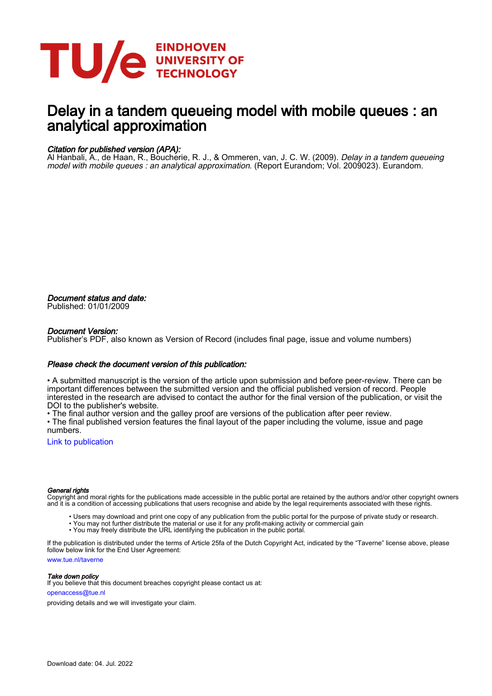

# Delay in a tandem queueing model with mobile queues : an analytical approximation

#### Citation for published version (APA):

Al Hanbali, A., de Haan, R., Boucherie, R. J., & Ommeren, van, J. C. W. (2009). Delay in a tandem queueing model with mobile queues : an analytical approximation. (Report Eurandom; Vol. 2009023). Eurandom.

Document status and date: Published: 01/01/2009

#### Document Version:

Publisher's PDF, also known as Version of Record (includes final page, issue and volume numbers)

#### Please check the document version of this publication:

• A submitted manuscript is the version of the article upon submission and before peer-review. There can be important differences between the submitted version and the official published version of record. People interested in the research are advised to contact the author for the final version of the publication, or visit the DOI to the publisher's website.

• The final author version and the galley proof are versions of the publication after peer review.

• The final published version features the final layout of the paper including the volume, issue and page numbers.

[Link to publication](https://research.tue.nl/en/publications/d082f970-a4ef-4c26-b58e-f3f287b55ab5)

#### General rights

Copyright and moral rights for the publications made accessible in the public portal are retained by the authors and/or other copyright owners and it is a condition of accessing publications that users recognise and abide by the legal requirements associated with these rights.

- Users may download and print one copy of any publication from the public portal for the purpose of private study or research.
- You may not further distribute the material or use it for any profit-making activity or commercial gain
- You may freely distribute the URL identifying the publication in the public portal.

If the publication is distributed under the terms of Article 25fa of the Dutch Copyright Act, indicated by the "Taverne" license above, please follow below link for the End User Agreement:

www.tue.nl/taverne

**Take down policy**<br>If you believe that this document breaches copyright please contact us at:

openaccess@tue.nl

providing details and we will investigate your claim.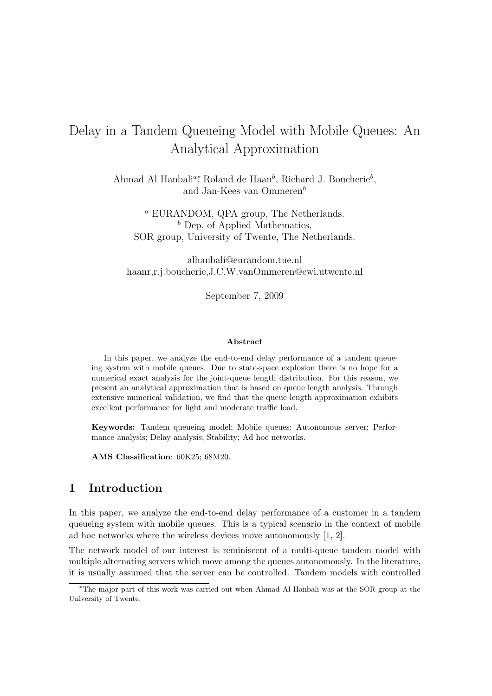# Delay in a Tandem Queueing Model with Mobile Queues: An Analytical Approximation

Ahmad Al Hanbali<sup>a</sup><sup>\*</sup>, Roland de Haan<sup>b</sup>, Richard J. Boucherie<sup>b</sup>, and Jan-Kees van Ommeren<sup>b</sup>

<sup>a</sup> EURANDOM, QPA group, The Netherlands.  $<sup>b</sup>$  Dep. of Applied Mathematics,</sup> SOR group, University of Twente, The Netherlands.

alhanbali@eurandom.tue.nl haanr,r.j.boucherie,J.C.W.vanOmmeren@ewi.utwente.nl

September 7, 2009

#### Abstract

In this paper, we analyze the end-to-end delay performance of a tandem queueing system with mobile queues. Due to state-space explosion there is no hope for a numerical exact analysis for the joint-queue length distribution. For this reason, we present an analytical approximation that is based on queue length analysis. Through extensive numerical validation, we find that the queue length approximation exhibits excellent performance for light and moderate traffic load.

Keywords: Tandem queueing model; Mobile queues; Autonomous server; Performance analysis; Delay analysis; Stability; Ad hoc networks.

AMS Classification: 60K25; 68M20.

# 1 Introduction

In this paper, we analyze the end-to-end delay performance of a customer in a tandem queueing system with mobile queues. This is a typical scenario in the context of mobile ad hoc networks where the wireless devices move autonomously [1, 2].

The network model of our interest is reminiscent of a multi-queue tandem model with multiple alternating servers which move among the queues autonomously. In the literature, it is usually assumed that the server can be controlled. Tandem models with controlled

<sup>∗</sup>The major part of this work was carried out when Ahmad Al Hanbali was at the SOR group at the University of Twente.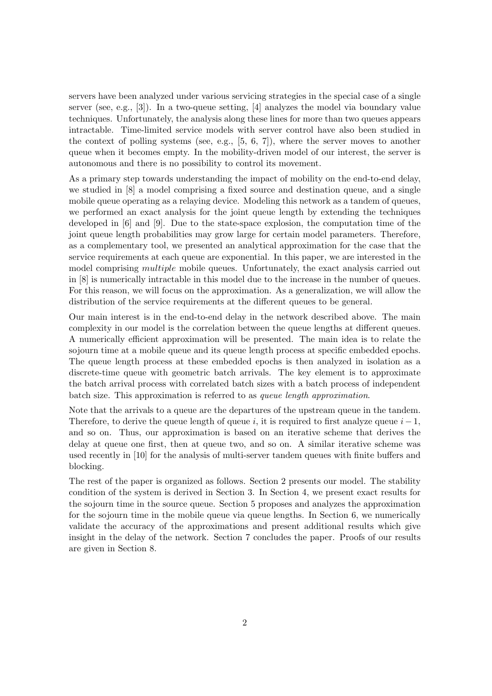servers have been analyzed under various servicing strategies in the special case of a single server (see, e.g.,  $[3]$ ). In a two-queue setting,  $[4]$  analyzes the model via boundary value techniques. Unfortunately, the analysis along these lines for more than two queues appears intractable. Time-limited service models with server control have also been studied in the context of polling systems (see, e.g.,  $[5, 6, 7]$ ), where the server moves to another queue when it becomes empty. In the mobility-driven model of our interest, the server is autonomous and there is no possibility to control its movement.

As a primary step towards understanding the impact of mobility on the end-to-end delay, we studied in [8] a model comprising a fixed source and destination queue, and a single mobile queue operating as a relaying device. Modeling this network as a tandem of queues, we performed an exact analysis for the joint queue length by extending the techniques developed in [6] and [9]. Due to the state-space explosion, the computation time of the joint queue length probabilities may grow large for certain model parameters. Therefore, as a complementary tool, we presented an analytical approximation for the case that the service requirements at each queue are exponential. In this paper, we are interested in the model comprising *multiple* mobile queues. Unfortunately, the exact analysis carried out in [8] is numerically intractable in this model due to the increase in the number of queues. For this reason, we will focus on the approximation. As a generalization, we will allow the distribution of the service requirements at the different queues to be general.

Our main interest is in the end-to-end delay in the network described above. The main complexity in our model is the correlation between the queue lengths at different queues. A numerically efficient approximation will be presented. The main idea is to relate the sojourn time at a mobile queue and its queue length process at specific embedded epochs. The queue length process at these embedded epochs is then analyzed in isolation as a discrete-time queue with geometric batch arrivals. The key element is to approximate the batch arrival process with correlated batch sizes with a batch process of independent batch size. This approximation is referred to as queue length approximation.

Note that the arrivals to a queue are the departures of the upstream queue in the tandem. Therefore, to derive the queue length of queue i, it is required to first analyze queue  $i - 1$ , and so on. Thus, our approximation is based on an iterative scheme that derives the delay at queue one first, then at queue two, and so on. A similar iterative scheme was used recently in [10] for the analysis of multi-server tandem queues with finite buffers and blocking.

The rest of the paper is organized as follows. Section 2 presents our model. The stability condition of the system is derived in Section 3. In Section 4, we present exact results for the sojourn time in the source queue. Section 5 proposes and analyzes the approximation for the sojourn time in the mobile queue via queue lengths. In Section 6, we numerically validate the accuracy of the approximations and present additional results which give insight in the delay of the network. Section 7 concludes the paper. Proofs of our results are given in Section 8.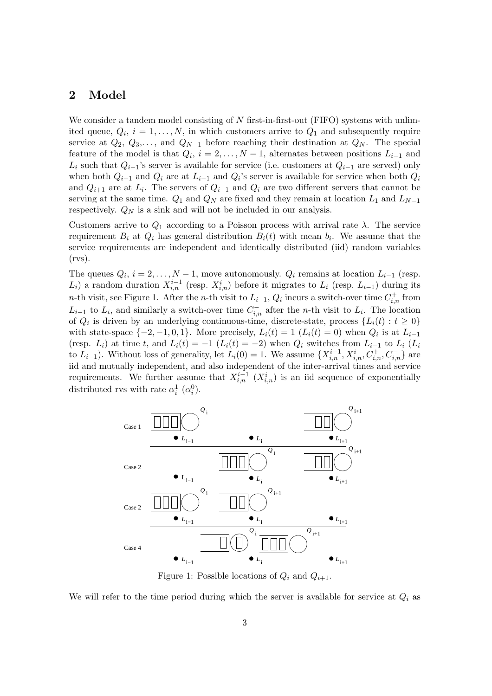# 2 Model

We consider a tandem model consisting of N first-in-first-out (FIFO) systems with unlimited queue,  $Q_i$ ,  $i = 1, ..., N$ , in which customers arrive to  $Q_1$  and subsequently require service at  $Q_2, Q_3,...$ , and  $Q_{N-1}$  before reaching their destination at  $Q_N$ . The special feature of the model is that  $Q_i$ ,  $i = 2, \ldots, N - 1$ , alternates between positions  $L_{i-1}$  and  $L_i$  such that  $Q_{i-1}$ 's server is available for service (i.e. customers at  $Q_{i-1}$  are served) only when both  $Q_{i-1}$  and  $Q_i$  are at  $L_{i-1}$  and  $Q_i$ 's server is available for service when both  $Q_i$ and  $Q_{i+1}$  are at  $L_i$ . The servers of  $Q_{i-1}$  and  $Q_i$  are two different servers that cannot be serving at the same time.  $Q_1$  and  $Q_N$  are fixed and they remain at location  $L_1$  and  $L_{N-1}$ respectively.  $Q_N$  is a sink and will not be included in our analysis.

Customers arrive to  $Q_1$  according to a Poisson process with arrival rate  $\lambda$ . The service requirement  $B_i$  at  $Q_i$  has general distribution  $B_i(t)$  with mean  $b_i$ . We assume that the service requirements are independent and identically distributed (iid) random variables (rvs).

The queues  $Q_i$ ,  $i = 2, \ldots, N - 1$ , move autonomously.  $Q_i$  remains at location  $L_{i-1}$  (resp.  $L_i$ ) a random duration  $X_{i,n}^{i-1}$  (resp.  $X_{i,n}^i$ ) before it migrates to  $L_i$  (resp.  $L_{i-1}$ ) during its n-th visit, see Figure 1. After the n-th visit to  $L_{i-1}$ ,  $Q_i$  incurs a switch-over time  $C_{i,n}^+$  from  $L_{i-1}$  to  $L_i$ , and similarly a switch-over time  $C_{i,n}^-$  after the n-th visit to  $L_i$ . The location of  $Q_i$  is driven by an underlying continuous-time, discrete-state, process  $\{L_i(t): t \geq 0\}$ with state-space  $\{-2, -1, 0, 1\}$ . More precisely,  $L_i(t) = 1$   $(L_i(t) = 0)$  when  $Q_i$  is at  $L_{i-1}$ (resp.  $L_i$ ) at time t, and  $L_i(t) = -1$  ( $L_i(t) = -2$ ) when  $Q_i$  switches from  $L_{i-1}$  to  $L_i$  ( $L_i$ to  $L_{i-1}$ ). Without loss of generality, let  $L_i(0) = 1$ . We assume  $\{X_{i,n}^{i-1}, X_{i,n}^i, C_{i,n}^+, C_{i,n}^-\}$  are iid and mutually independent, and also independent of the inter-arrival times and service requirements. We further assume that  $X_{i,n}^{i-1}$   $(X_{i,n}^i)$  is an iid sequence of exponentially distributed rvs with rate  $\alpha_i^1$   $(\alpha_i^0)$ .



Figure 1: Possible locations of  $Q_i$  and  $Q_{i+1}$ .

We will refer to the time period during which the server is available for service at  $Q_i$  as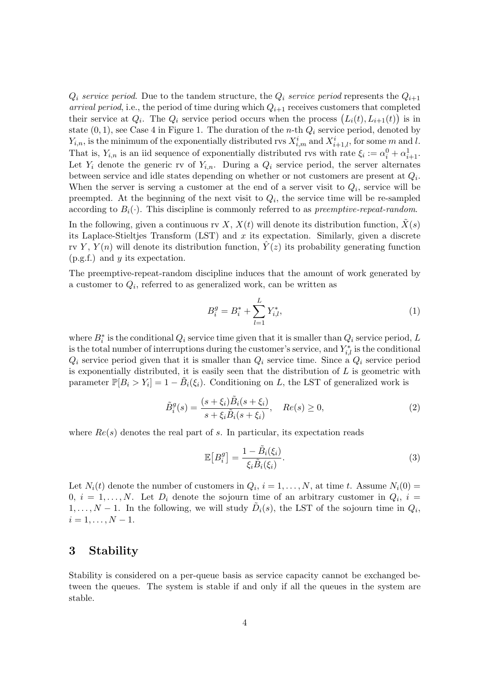$Q_i$  service period. Due to the tandem structure, the  $Q_i$  service period represents the  $Q_{i+1}$ arrival period, i.e., the period of time during which  $Q_{i+1}$  receives customers that completed *arrival period*, i.e., the period of time during which  $Q_{i+1}$  receives customers that completed their service at  $Q_i$ . The  $Q_i$  service period occurs when the process  $(L_i(t), L_{i+1}(t))$  is in state  $(0, 1)$ , see Case 4 in Figure 1. The duration of the *n*-th  $Q_i$  service period, denoted by  $Y_{i,n}$ , is the minimum of the exponentially distributed rvs  $X_{i,m}^i$  and  $X_{i+1,l}^i$ , for some m and l. That is,  $Y_{i,n}$  is an iid sequence of exponentially distributed rvs with rate  $\xi_i := \alpha_i^0 + \alpha_{i+1}^1$ . Let  $Y_i$  denote the generic rv of  $Y_{i,n}$ . During a  $Q_i$  service period, the server alternates between service and idle states depending on whether or not customers are present at  $Q_i$ . When the server is serving a customer at the end of a server visit to  $Q_i$ , service will be preempted. At the beginning of the next visit to  $Q_i$ , the service time will be re-sampled according to  $B_i(\cdot)$ . This discipline is commonly referred to as preemptive-repeat-random.

In the following, given a continuous rv X,  $X(t)$  will denote its distribution function,  $\ddot{X}(s)$ its Laplace-Stieltjes Transform  $(LST)$  and x its expectation. Similarly, given a discrete rv Y,  $Y(n)$  will denote its distribution function,  $\hat{Y}(z)$  its probability generating function (p.g.f.) and y its expectation.

The preemptive-repeat-random discipline induces that the amount of work generated by a customer to  $Q_i$ , referred to as generalized work, can be written as

$$
B_i^g = B_i^* + \sum_{l=1}^{L} Y_{i,l}^*,\tag{1}
$$

where  $B_i^*$  is the conditional  $Q_i$  service time given that it is smaller than  $Q_i$  service period, L is the total number of interruptions during the customer's service, and  $Y_{i,l}^*$  is the conditional  $Q_i$  service period given that it is smaller than  $Q_i$  service time. Since a  $Q_i$  service period is exponentially distributed, it is easily seen that the distribution of  $L$  is geometric with parameter  $\mathbb{P}[B_i > Y_i] = 1 - \tilde{B}_i(\xi_i)$ . Conditioning on L, the LST of generalized work is

$$
\tilde{B}_i^g(s) = \frac{(s + \xi_i)\tilde{B}_i(s + \xi_i)}{s + \xi_i\tilde{B}_i(s + \xi_i)}, \quad Re(s) \ge 0,
$$
\n(2)

where  $Re(s)$  denotes the real part of s. In particular, its expectation reads

$$
\mathbb{E}\left[B_i^g\right] = \frac{1 - \tilde{B}_i(\xi_i)}{\xi_i \tilde{B}_i(\xi_i)}.
$$
\n(3)

Let  $N_i(t)$  denote the number of customers in  $Q_i$ ,  $i = 1, \ldots, N$ , at time t. Assume  $N_i(0) =$  $0, i = 1, \ldots, N$ . Let  $D_i$  denote the sojourn time of an arbitrary customer in  $Q_i$ ,  $i =$  $1, \ldots, N-1$ . In the following, we will study  $\tilde{D}_i(s)$ , the LST of the sojourn time in  $Q_i$ ,  $i = 1, \ldots, N - 1.$ 

# 3 Stability

Stability is considered on a per-queue basis as service capacity cannot be exchanged between the queues. The system is stable if and only if all the queues in the system are stable.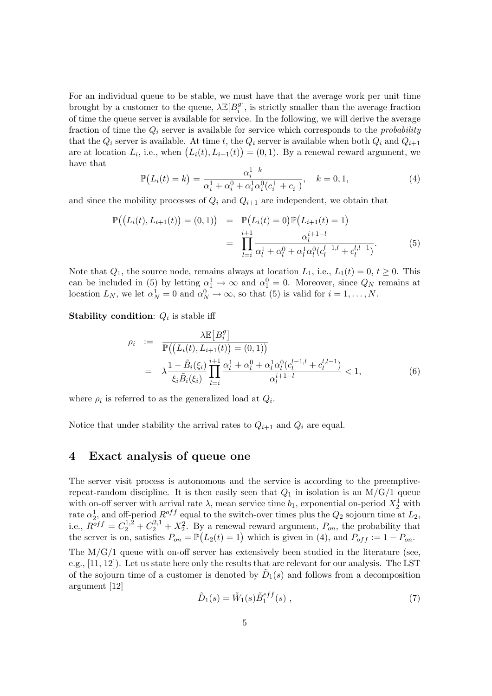For an individual queue to be stable, we must have that the average work per unit time brought by a customer to the queue,  $\lambda \mathbb{E}[B_i^g]$  $_{i}^{g}$ ], is strictly smaller than the average fraction of time the queue server is available for service. In the following, we will derive the average fraction of time the  $Q_i$  server is available for service which corresponds to the *probability* that the  $Q_i$  server is available. At time t, the  $Q_i$  server is available when both  $Q_i$  and  $Q_{i+1}$ that the  $Q_i$  server is available. At time t, the  $Q_i$  server is available when both  $Q_i$  and  $Q_{i+1}$  are at location  $L_i$ , i.e., when  $(L_i(t), L_{i+1}(t)) = (0, 1)$ . By a renewal reward argument, we have that

$$
\mathbb{P}(L_i(t) = k) = \frac{\alpha_i^{1-k}}{\alpha_i^1 + \alpha_i^0 + \alpha_i^1 \alpha_i^0 (c_i^+ + c_i^-)}, \quad k = 0, 1,
$$
\n(4)

and since the mobility processes of  $Q_i$  and  $Q_{i+1}$  are independent, we obtain that

$$
\mathbb{P}((L_i(t), L_{i+1}(t)) = (0, 1)) = \mathbb{P}(L_i(t) = 0)\mathbb{P}(L_{i+1}(t) = 1)
$$
  
= 
$$
\prod_{l=i}^{i+1} \frac{\alpha_l^{i+1-l}}{\alpha_l^1 + \alpha_l^0 + \alpha_l^1 \alpha_l^0 (c_l^{l-1,l} + c_l^{l,l-1})}.
$$
 (5)

Note that  $Q_1$ , the source node, remains always at location  $L_1$ , i.e.,  $L_1(t) = 0, t \ge 0$ . This can be included in (5) by letting  $\alpha_1^1 \to \infty$  and  $\alpha_1^0 = 0$ . Moreover, since  $Q_N$  remains at location  $L_N$ , we let  $\alpha_N^1 = 0$  and  $\alpha_N^0 \to \infty$ , so that (5) is valid for  $i = 1, ..., N$ .

Stability condition:  $Q_i$  is stable iff

$$
\rho_i := \frac{\lambda \mathbb{E}\left[B_i^g\right]}{\mathbb{P}\left(\left(L_i(t), L_{i+1}(t)\right) = (0, 1)\right)} \n= \lambda \frac{1 - \tilde{B}_i(\xi_i)}{\xi_i \tilde{B}_i(\xi_i)} \prod_{l=i}^{i+1} \frac{\alpha_l^1 + \alpha_l^0 + \alpha_l^1 \alpha_l^0 (c_l^{l-1,l} + c_l^{l,l-1})}{\alpha_l^{i+1-l}} < 1,
$$
\n(6)

where  $\rho_i$  is referred to as the generalized load at  $Q_i$ .

Notice that under stability the arrival rates to  $Q_{i+1}$  and  $Q_i$  are equal.

# 4 Exact analysis of queue one

The server visit process is autonomous and the service is according to the preemptiverepeat-random discipline. It is then easily seen that  $Q_1$  in isolation is an M/G/1 queue with on-off server with arrival rate  $\lambda$ , mean service time  $b_1$ , exponential on-period  $X_2^1$  with rate  $\alpha_2^1$ , and off-period  $R^{off}$  equal to the switch-over times plus the  $Q_2$  sojourn time at  $L_2$ , i.e.,  $R^{off} = C_2^{1,2} + C_2^{2,1} + X_2^2$ . By a renewal reward argument,  $P_{on}$ , the probability that the server is on, satisfies  $P_{on} = \mathbb{P}(L_2(t) = 1)$  which is given in (4), and  $P_{off} := 1 - P_{on}$ .

The  $M/G/1$  queue with on-off server has extensively been studied in the literature (see, e.g., [11, 12]). Let us state here only the results that are relevant for our analysis. The LST of the sojourn time of a customer is denoted by  $\tilde{D}_1(s)$  and follows from a decomposition argument [12]

$$
\tilde{D}_1(s) = \tilde{W}_1(s)\tilde{B}_1^{eff}(s) ,\qquad (7)
$$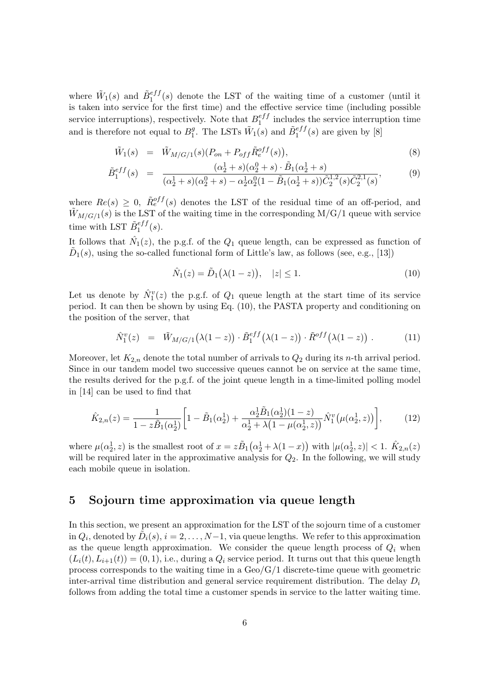where  $\tilde{W}_1(s)$  and  $\tilde{B}_1^{eff}(s)$  denote the LST of the waiting time of a customer (until it is taken into service for the first time) and the effective service time (including possible service interruptions), respectively. Note that  $B_1^{eff}$  $_1^{e_{ff}}$  includes the service interruption time and is therefore not equal to  $B_1^g$ <sup>g</sup>. The LSTs  $\tilde{W}_1(s)$  and  $\tilde{B}_1^{eff}(s)$  are given by [8]

$$
\tilde{W}_1(s) = \tilde{W}_{M/G/1}(s)(P_{on} + P_{off} \tilde{R}_e^{off}(s)), \tag{8}
$$

$$
\tilde{B}_1^{eff}(s) = \frac{(\alpha_2^1 + s)(\alpha_2^0 + s) \cdot \tilde{B}_1(\alpha_2^1 + s)}{(\alpha_2^1 + s)(\alpha_2^0 + s) - \alpha_2^1 \alpha_2^0 (1 - \tilde{B}_1(\alpha_2^1 + s)) \tilde{C}_2^{1,2}(s) \tilde{C}_2^{2,1}(s)},
$$
\n(9)

where  $Re(s) \geq 0$ ,  $\tilde{R}^{off}_e(s)$  denotes the LST of the residual time of an off-period, and  $\tilde{W}_{M/G/1}(s)$  is the LST of the waiting time in the corresponding M/G/1 queue with service time with LST  $\tilde{B}^{eff}_{1}(s)$ .

It follows that  $\hat{N}_1(z)$ , the p.g.f. of the  $Q_1$  queue length, can be expressed as function of  $\tilde{D}_1(s)$ , using the so-called functional form of Little's law, as follows (see, e.g., [13])

$$
\hat{N}_1(z) = \tilde{D}_1(\lambda(1-z)), \quad |z| \le 1.
$$
\n(10)

Let us denote by  $\hat{N}_1^v(z)$  the p.g.f. of  $Q_1$  queue length at the start time of its service period. It can then be shown by using Eq. (10), the PASTA property and conditioning on the position of the server, that

$$
\hat{N}_1^v(z) = \tilde{W}_{M/G/1}(\lambda(1-z)) \cdot \tilde{B}_1^{eff}(\lambda(1-z)) \cdot \tilde{R}^{off}(\lambda(1-z)) . \tag{11}
$$

Moreover, let  $K_{2n}$  denote the total number of arrivals to  $Q_2$  during its n-th arrival period. Since in our tandem model two successive queues cannot be on service at the same time, the results derived for the p.g.f. of the joint queue length in a time-limited polling model in [14] can be used to find that

$$
\hat{K}_{2,n}(z) = \frac{1}{1 - z\tilde{B}_1(\alpha_2^1)} \left[ 1 - \tilde{B}_1(\alpha_2^1) + \frac{\alpha_2^1 \tilde{B}_1(\alpha_2^1)(1 - z)}{\alpha_2^1 + \lambda (1 - \mu(\alpha_2^1, z))} \hat{N}_1^v(\mu(\alpha_2^1, z)) \right],\tag{12}
$$

where  $\mu(\alpha_2^1, z)$  is the smallest root of  $x = z\tilde{B}_1$ ¡  $\alpha_2^1 + \lambda(1-x)$ ¢ with  $|\mu(\alpha_2^1, z)| < 1$ .  $\hat{K}_{2,n}(z)$ will be required later in the approximative analysis for  $Q_2$ . In the following, we will study each mobile queue in isolation.

# 5 Sojourn time approximation via queue length

In this section, we present an approximation for the LST of the sojourn time of a customer in  $Q_i$ , denoted by  $\tilde{D}_i(s), i = 2, \ldots, N-1$ , via queue lengths. We refer to this approximation as the queue length approximation. We consider the queue length process of  $Q_i$  when  $(L_i(t), L_{i+1}(t)) = (0, 1)$ , i.e., during a  $Q_i$  service period. It turns out that this queue length process corresponds to the waiting time in a Geo/G/1 discrete-time queue with geometric inter-arrival time distribution and general service requirement distribution. The delay  $D_i$ follows from adding the total time a customer spends in service to the latter waiting time.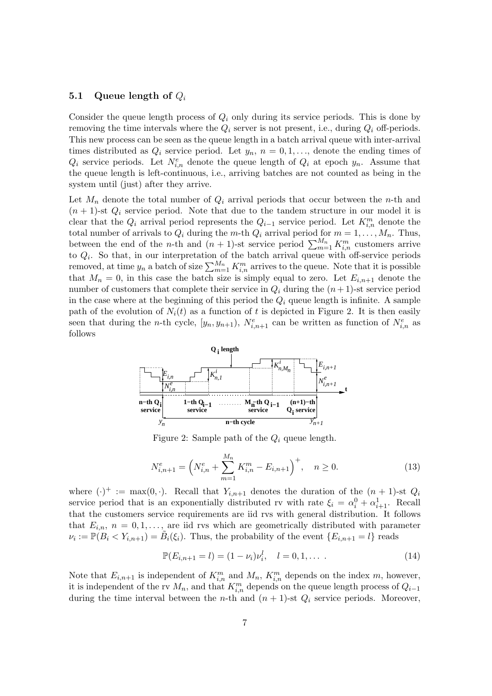## 5.1 Queue length of  $Q_i$

Consider the queue length process of  $Q_i$  only during its service periods. This is done by removing the time intervals where the  $Q_i$  server is not present, i.e., during  $Q_i$  off-periods. This new process can be seen as the queue length in a batch arrival queue with inter-arrival times distributed as  $Q_i$  service period. Let  $y_n$ ,  $n = 0, 1, \ldots$ , denote the ending times of  $Q_i$  service periods. Let  $N_{i,n}^e$  denote the queue length of  $Q_i$  at epoch  $y_n$ . Assume that the queue length is left-continuous, i.e., arriving batches are not counted as being in the system until (just) after they arrive.

Let  $M_n$  denote the total number of  $Q_i$  arrival periods that occur between the *n*-th and  $(n + 1)$ -st  $Q_i$  service period. Note that due to the tandem structure in our model it is clear that the  $Q_i$  arrival period represents the  $Q_{i-1}$  service period. Let  $K_{i,n}^m$  denote the total number of arrivals to  $Q_i$  during the m-th  $Q_i$  arrival period for  $m = 1, \ldots, M_n$ . Thus, between the end of the *n*-th and  $(n + 1)$ -st service period  $\sum_{m=1}^{M_n} K_{i,n}^m$  customers arrive to  $Q_i$ . So that, in our interpretation of the batch arrival queue with off-service periods removed, at time  $y_n$  a batch of size  $\sum_{m=1}^{M_n} K_{i,n}^m$  arrives to the queue. Note that it is possible that  $M_n = 0$ , in this case the batch size is simply equal to zero. Let  $E_{i,n+1}$  denote the number of customers that complete their service in  $Q_i$  during the  $(n+1)$ -st service period in the case where at the beginning of this period the  $Q_i$  queue length is infinite. A sample path of the evolution of  $N_i(t)$  as a function of t is depicted in Figure 2. It is then easily seen that during the *n*-th cycle,  $[y_n, y_{n+1}), N_{i,n+1}^e$  can be written as function of  $N_{i,n}^e$  as follows



Figure 2: Sample path of the  $Q_i$  queue length.

$$
N_{i,n+1}^e = \left(N_{i,n}^e + \sum_{m=1}^{M_n} K_{i,n}^m - E_{i,n+1}\right)^+, \quad n \ge 0.
$$
 (13)

where  $(\cdot)^+ := \max(0, \cdot)$ . Recall that  $Y_{i,n+1}$  denotes the duration of the  $(n+1)$ -st  $Q_i$ service period that is an exponentially distributed rv with rate  $\xi_i = \alpha_i^0 + \alpha_{i+1}^1$ . Recall that the customers service requirements are iid rvs with general distribution. It follows that  $E_{i,n}$ ,  $n = 0, 1, \ldots$ , are iid rvs which are geometrically distributed with parameter  $\nu_i := \mathbb{P}(B_i < Y_{i,n+1}) = \tilde{B}_i(\xi_i)$ . Thus, the probability of the event  $\{E_{i,n+1} = l\}$  reads

$$
\mathbb{P}(E_{i,n+1} = l) = (1 - \nu_i)\nu_i^l, \quad l = 0, 1, \dots
$$
\n(14)

Note that  $E_{i,n+1}$  is independent of  $K_{i,n}^m$  and  $M_n$ ,  $K_{i,n}^m$  depends on the index m, however, it is independent of the rv  $M_n$ , and that  $K_{i,n}^m$  depends on the queue length process of  $Q_{i-1}$ during the time interval between the *n*-th and  $(n + 1)$ -st  $Q_i$  service periods. Moreover,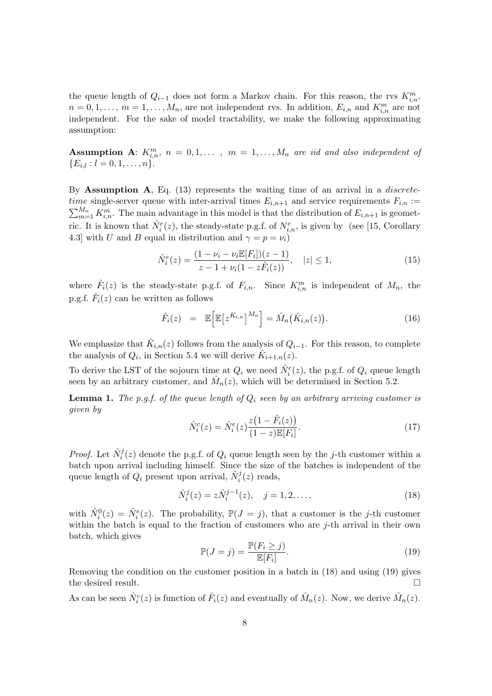the queue length of  $Q_{i-1}$  does not form a Markov chain. For this reason, the rvs  $K_{i,n}^m$ ,  $n = 0, 1, \ldots, m = 1, \ldots, M_n$ , are not independent rvs. In addition,  $E_{i,n}$  and  $K_{i,n}^m$  are not independent. For the sake of model tractability, we make the following approximating assumption:

**Assumption A:**  $K_{i,n}^m$ ,  $n = 0, 1, \ldots, m = 1, \ldots, M_n$  are iid and also independent of  ${E_{i,l} : l = 0,1,\ldots,n}.$ 

By **Assumption A**, Eq. (13) represents the waiting time of an arrival in a *discretetime* single-server queue with inter-arrival times  $E_{i,n+1}$  and service requirements  $F_{i,n}$  :=  $\sum_{m=1}^{M_n} K_{i,n}^m$ . The main advantage in this model is that the distribution of  $E_{i,n+1}$  is geometric. It is known that  $\hat{N}_i^e(z)$ , the steady-state p.g.f. of  $N_{i,n}^e$ , is given by (see [15, Corollary 4.3] with U and B equal in distribution and  $\gamma = p = \nu_i$ )

$$
\hat{N}_i^e(z) = \frac{(1 - \nu_i - \nu_i \mathbb{E}[F_i])(z - 1)}{z - 1 + \nu_i(1 - z\hat{F}_i(z))}, \quad |z| \le 1,
$$
\n(15)

where  $\hat{F}_i(z)$  is the steady-state p.g.f. of  $F_{i,n}$ . Since  $K_{i,n}^m$  is independent of  $M_n$ , the p.g.f.  $\hat{F}_i(z)$  can be written as follows

$$
\hat{F}_i(z) = \mathbb{E}\Big[\mathbb{E}\big[z^{K_{i,n}}\big]^{M_n}\Big] = \hat{M}_n(\hat{K}_{i,n}(z)).
$$
\n(16)

We emphasize that  $\hat{K}_{i,n}(z)$  follows from the analysis of  $Q_{i-1}$ . For this reason, to complete the analysis of  $Q_i$ , in Section 5.4 we will derive  $\hat{K}_{i+1,n}(z)$ .

To derive the LST of the sojourn time at  $Q_i$  we need  $\hat{N}_i^c(z)$ , the p.g.f. of  $Q_i$  queue length seen by an arbitrary customer, and  $\hat{M}_n(z)$ , which will be determined in Section 5.2.

**Lemma 1.** The p.g.f. of the queue length of  $Q_i$  seen by an arbitrary arriving customer is given by ¡ ¢

$$
\hat{N}_i^c(z) = \hat{N}_i^e(z) \frac{z(1 - \hat{F}_i(z))}{(1 - z)\mathbb{E}[F_i]}.
$$
\n(17)

*Proof.* Let  $\hat{N}_i^j(z)$  denote the p.g.f. of  $Q_i$  queue length seen by the j-th customer within a batch upon arrival including himself. Since the size of the batches is independent of the queue length of  $Q_i$  present upon arrival,  $\hat{N}_i^j(z)$  reads,

$$
\hat{N}_i^j(z) = z \hat{N}_i^{j-1}(z), \quad j = 1, 2, \dots,
$$
\n(18)

with  $\hat{N}_i^0(z) = \hat{N}_i^e(z)$ . The probability,  $\mathbb{P}(J = j)$ , that a customer is the j-th customer within the batch is equal to the fraction of customers who are  $j$ -th arrival in their own batch, which gives

$$
\mathbb{P}(J=j) = \frac{\mathbb{P}(F_i \ge j)}{\mathbb{E}[F_i]}.
$$
\n(19)

Removing the condition on the customer position in a batch in (18) and using (19) gives the desired result.  $\Box$ 

As can be seen  $\hat{N}_i^c(z)$  is function of  $\hat{F}_i(z)$  and eventually of  $\hat{M}_n(z)$ . Now, we derive  $\hat{M}_n(z)$ .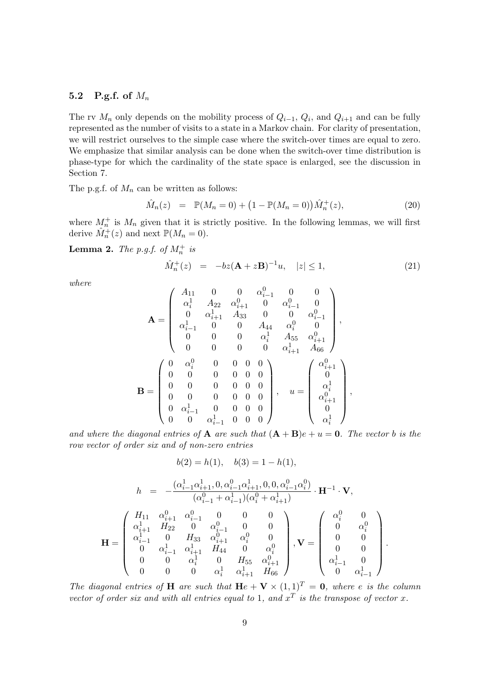# 5.2 P.g.f. of  $M_n$

The rv  $M_n$  only depends on the mobility process of  $Q_{i-1}$ ,  $Q_i$ , and  $Q_{i+1}$  and can be fully represented as the number of visits to a state in a Markov chain. For clarity of presentation, we will restrict ourselves to the simple case where the switch-over times are equal to zero. We emphasize that similar analysis can be done when the switch-over time distribution is phase-type for which the cardinality of the state space is enlarged, see the discussion in Section 7.

The p.g.f. of  $M_n$  can be written as follows:

$$
\hat{M}_n(z) = \mathbb{P}(M_n = 0) + (1 - \mathbb{P}(M_n = 0))\hat{M}_n^+(z),
$$
\n(20)

where  $M_n^+$  is  $M_n$  given that it is strictly positive. In the following lemmas, we will first derive  $\hat{M}_n^+(z)$  and next  $\mathbb{P}(M_n = 0)$ .

**Lemma 2.** The p.g.f. of  $M_n^+$  is

$$
\hat{M}_n^+(z) = -bz(\mathbf{A} + z\mathbf{B})^{-1}u, \quad |z| \le 1,
$$
\n(21)

where

$$
\mathbf{A} = \begin{pmatrix} A_{11} & 0 & 0 & \alpha_{i-1}^0 & 0 & 0 \\ \alpha_i^1 & A_{22} & \alpha_{i+1}^0 & 0 & \alpha_{i-1}^0 & 0 \\ 0 & \alpha_{i+1}^1 & A_{33} & 0 & 0 & \alpha_{i-1}^0 \\ \alpha_{i-1}^1 & 0 & 0 & A_{44} & \alpha_i^0 & 0 \\ 0 & 0 & 0 & \alpha_i^1 & A_{55} & \alpha_{i+1}^0 \\ 0 & 0 & 0 & 0 & \alpha_{i+1}^1 & A_{66} \end{pmatrix},
$$

$$
\mathbf{B} = \begin{pmatrix} 0 & \alpha_i^0 & 0 & 0 & 0 & 0 \\ 0 & 0 & 0 & 0 & 0 & 0 \\ 0 & 0 & 0 & 0 & 0 & 0 \\ 0 & 0 & 0 & 0 & 0 & 0 \\ 0 & 0 & 0 & 0 & 0 & 0 \\ 0 & \alpha_{i-1}^1 & 0 & 0 & 0 & 0 \end{pmatrix}, \quad u = \begin{pmatrix} \alpha_{i+1}^0 \\ \alpha_i^1 \\ \alpha_{i+1}^1 \\ \alpha_{i+1}^0 \\ \alpha_{i+1}^1 \\ \alpha_{i+1}^0 \\ \alpha_{i}^1 \end{pmatrix},
$$

and where the diagonal entries of **A** are such that  $(A + B)e + u = 0$ . The vector b is the row vector of order six and of non-zero entries

$$
b(2) = h(1), \quad b(3) = 1 - h(1),
$$

$$
h \ = \ -\frac{(\alpha_{i-1}^1\alpha_{i+1}^1, 0, \alpha_{i-1}^0\alpha_{i+1}^1, 0, 0, \alpha_{i-1}^0\alpha_i^0)}{(\alpha_{i-1}^0 + \alpha_{i-1}^1)(\alpha_i^0 + \alpha_{i+1}^1)} \cdot \mathbf{H}^{-1} \cdot \mathbf{V},
$$
\n
$$
\mathbf{H} = \begin{pmatrix}\nH_{11} & \alpha_{i+1}^0 & \alpha_{i-1}^0 & 0 & 0 & 0 \\
\alpha_{i+1}^1 & H_{22} & 0 & \alpha_{i-1}^0 & 0 & 0 \\
\alpha_{i-1}^1 & 0 & H_{33} & \alpha_{i+1}^0 & \alpha_i^0 & 0 \\
0 & \alpha_{i-1}^1 & \alpha_{i+1}^1 & H_{44} & 0 & \alpha_i^0 \\
0 & 0 & \alpha_i^1 & 0 & H_{55} & \alpha_{i+1}^0 \\
0 & 0 & 0 & \alpha_i^1 & \alpha_{i+1}^1 & H_{66}\n\end{pmatrix}, \mathbf{V} = \begin{pmatrix}\n\alpha_i^0 & 0 & 0 \\
0 & \alpha_i^0 & 0 \\
0 & 0 & 0 \\
\alpha_{i-1}^1 & 0 & 0 \\
\alpha_{i-1}^1 & 0 & 0 \\
\alpha_{i-1}^1 & 0 & \alpha_{i+1}^1 \\
0 & 0 & \alpha_{i+1}^1 & H_{66}\n\end{pmatrix}.
$$

The diagonal entries of H are such that  $\mathbf{H}e + \mathbf{V} \times (1,1)^T = \mathbf{0}$ , where e is the column vector of order six and with all entries equal to 1, and  $x^T$  is the transpose of vector x.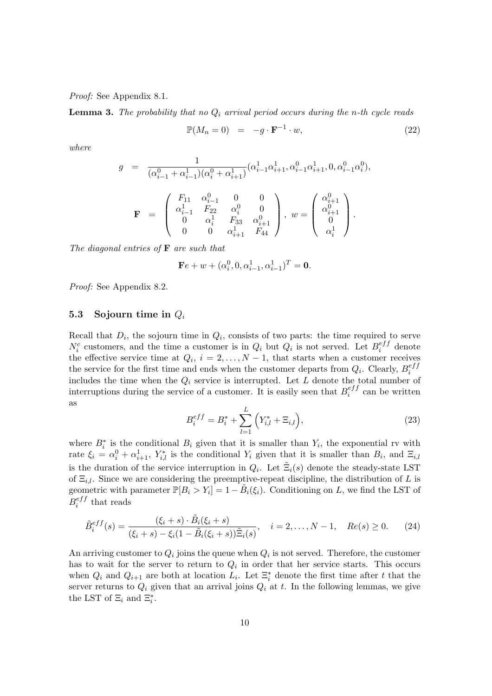Proof: See Appendix 8.1.

**Lemma 3.** The probability that no  $Q_i$  arrival period occurs during the n-th cycle reads

$$
\mathbb{P}(M_n = 0) = -g \cdot \mathbf{F}^{-1} \cdot w,\tag{22}
$$

where

$$
g = \frac{1}{(\alpha_{i-1}^0 + \alpha_{i-1}^1)(\alpha_i^0 + \alpha_{i+1}^1)} (\alpha_{i-1}^1 \alpha_{i+1}^1, \alpha_{i-1}^0 \alpha_{i+1}^1, 0, \alpha_{i-1}^0 \alpha_i^0),
$$
  

$$
\mathbf{F} = \begin{pmatrix} F_{11} & \alpha_{i-1}^0 & 0 & 0 \\ \alpha_{i-1}^1 & F_{22} & \alpha_i^0 & 0 \\ 0 & \alpha_i^1 & F_{33} & \alpha_{i+1}^0 \\ 0 & 0 & \alpha_{i+1}^1 & F_{44} \end{pmatrix}, w = \begin{pmatrix} \alpha_{i+1}^0 \\ \alpha_{i+1}^0 \\ 0 \\ \alpha_i^1 \end{pmatrix}.
$$

The diagonal entries of  $\bf{F}$  are such that

$$
\mathbf{F}e + w + (\alpha_i^0, 0, \alpha_{i-1}^1, \alpha_{i-1}^1)^T = \mathbf{0}.
$$

Proof: See Appendix 8.2.

# 5.3 Sojourn time in  $Q_i$

Recall that  $D_i$ , the sojourn time in  $Q_i$ , consists of two parts: the time required to serve  $N_i^c$  customers, and the time a customer is in  $Q_i$  but  $Q_i$  is not served. Let  $B_i^{eff}$  $i^{eff}$  denote the effective service time at  $Q_i$ ,  $i = 2, \ldots, N-1$ , that starts when a customer receives the service for the first time and ends when the customer departs from  $Q_i$ . Clearly,  $B_i^{eff}$ i includes the time when the  $Q_i$  service is interrupted. Let  $L$  denote the total number of interruptions during the service of a customer. It is easily seen that  $B_i^{eff}$  $i^{eff}$  can be written as

$$
B_i^{eff} = B_i^* + \sum_{l=1}^{L} \left( Y_{i,l}^* + \Xi_{i,l} \right), \tag{23}
$$

where  $B_i^*$  is the conditional  $B_i$  given that it is smaller than  $Y_i$ , the exponential rv with rate  $\xi_i = \alpha_i^0 + \alpha_{i+1}^1$ ,  $Y_{i,l}^*$  is the conditional  $Y_i$  given that it is smaller than  $B_i$ , and  $\Xi_{i,l}$ is the duration of the service interruption in  $Q_i$ . Let  $\tilde{\Xi}_i(s)$  denote the steady-state LST of  $\Xi_{i,l}$ . Since we are considering the preemptive-repeat discipline, the distribution of L is geometric with parameter  $\mathbb{P}[B_i > Y_i] = 1 - \tilde{B}_i(\xi_i)$ . Conditioning on L, we find the LST of  $B_i^{eff}$  $i^{eff}$  that reads

$$
\tilde{B}_i^{eff}(s) = \frac{(\xi_i + s) \cdot \tilde{B}_i(\xi_i + s)}{(\xi_i + s) - \xi_i(1 - \tilde{B}_i(\xi_i + s))\tilde{\Xi}_i(s)}, \quad i = 2, ..., N - 1, \quad Re(s) \ge 0.
$$
 (24)

An arriving customer to  $Q_i$  joins the queue when  $Q_i$  is not served. Therefore, the customer has to wait for the server to return to  $Q_i$  in order that her service starts. This occurs when  $Q_i$  and  $Q_{i+1}$  are both at location  $L_i$ . Let  $\Xi_i^*$  denote the first time after t that the server returns to  $Q_i$  given that an arrival joins  $Q_i$  at t. In the following lemmas, we give the LST of  $\Xi_i$  and  $\Xi_i^*$ .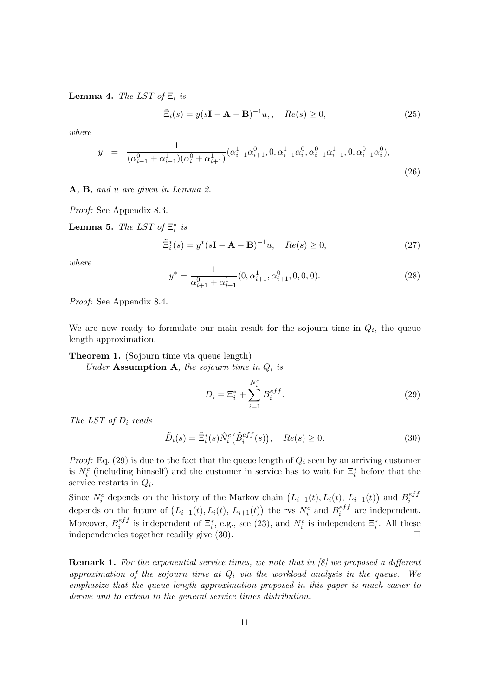**Lemma 4.** The LST of  $\Xi_i$  is

$$
\tilde{\Xi}_i(s) = y(s\mathbf{I} - \mathbf{A} - \mathbf{B})^{-1}u, \quad Re(s) \ge 0,
$$
\n(25)

where

$$
y = \frac{1}{(\alpha_{i-1}^0 + \alpha_{i-1}^1)(\alpha_i^0 + \alpha_{i+1}^1)} (\alpha_{i-1}^1 \alpha_{i+1}^0, 0, \alpha_{i-1}^1 \alpha_i^0, \alpha_{i-1}^0 \alpha_{i+1}^1, 0, \alpha_{i-1}^0 \alpha_i^0),
$$
\n(26)

A, B, and u are given in Lemma 2.

Proof: See Appendix 8.3.

**Lemma 5.** The LST of  $\Xi_i^*$  is

$$
\tilde{\Xi}_i^*(s) = y^*(s\mathbf{I} - \mathbf{A} - \mathbf{B})^{-1}u, \quad Re(s) \ge 0,
$$
\n(27)

where

$$
y^* = \frac{1}{\alpha_{i+1}^0 + \alpha_{i+1}^1} (0, \alpha_{i+1}^1, \alpha_{i+1}^0, 0, 0, 0).
$$
 (28)

Proof: See Appendix 8.4.

We are now ready to formulate our main result for the sojourn time in  $Q_i$ , the queue length approximation.

# Theorem 1. (Sojourn time via queue length)

Under Assumption A, the sojourn time in  $Q_i$  is

$$
D_i = \Xi_i^* + \sum_{i=1}^{N_i^c} B_i^{eff}.
$$
 (29)

The LST of  $D_i$  reads

$$
\tilde{D}_i(s) = \tilde{\Xi}_i^*(s) \hat{N}_i^c(\tilde{B}_i^{eff}(s)), \quad Re(s) \ge 0.
$$
\n(30)

*Proof:* Eq. (29) is due to the fact that the queue length of  $Q_i$  seen by an arriving customer is  $N_i^c$  (including himself) and the customer in service has to wait for  $\Xi_i^*$  before that the service restarts in  $Q_i$ . ¢

Since  $N_i^c$  depends on the history of the Markov chain  $(L_{i-1}(t), L_i(t), L_{i+1}(t))$ and  $B_i^{eff}$ i depends on the future of  $(L_{i-1}(t), L_i(t), L_{i+1}(t))$ the rvs  $N_i^c$  and  $B_i^{eff}$  $i^{eff}$  are independent. Moreover,  $B_i^{eff}$  $i^{eff}$  is independent of  $\Xi_i^*$ , e.g., see (23), and  $N_i^c$  is independent  $\Xi_i^*$ . All these independencies together readily give  $(30)$ .

**Remark 1.** For the exponential service times, we note that in [8] we proposed a different approximation of the sojourn time at  $Q_i$  via the workload analysis in the queue. We emphasize that the queue length approximation proposed in this paper is much easier to derive and to extend to the general service times distribution.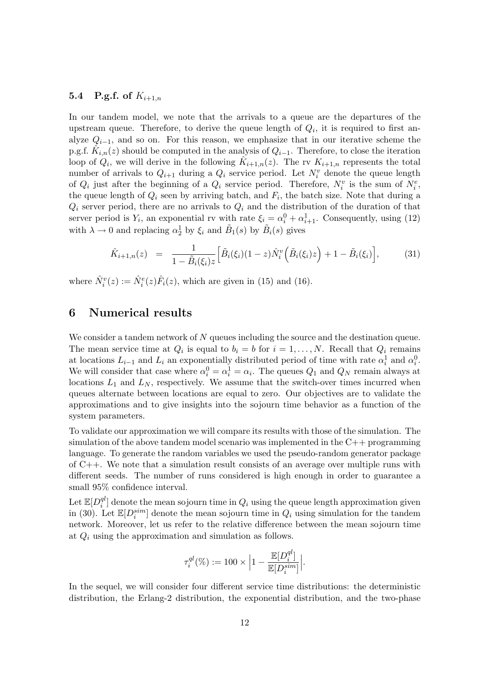# 5.4 P.g.f. of  $K_{i+1,n}$

In our tandem model, we note that the arrivals to a queue are the departures of the upstream queue. Therefore, to derive the queue length of  $Q_i$ , it is required to first analyze  $Q_{i-1}$ , and so on. For this reason, we emphasize that in our iterative scheme the p.g.f.  $\hat{K}_{i,n}(z)$  should be computed in the analysis of  $Q_{i-1}$ . Therefore, to close the iteration loop of  $Q_i$ , we will derive in the following  $\hat{K}_{i+1,n}(z)$ . The rv  $K_{i+1,n}$  represents the total number of arrivals to  $Q_{i+1}$  during a  $Q_i$  service period. Let  $N_i^v$  denote the queue length of  $Q_i$  just after the beginning of a  $Q_i$  service period. Therefore,  $N_i^v$  is the sum of  $N_i^e$ , the queue length of  $Q_i$  seen by arriving batch, and  $F_i$ , the batch size. Note that during a  $Q_i$  server period, there are no arrivals to  $Q_i$  and the distribution of the duration of that server period is  $Y_i$ , an exponential rv with rate  $\xi_i = \alpha_i^0 + \alpha_{i+1}^1$ . Consequently, using (12) with  $\lambda \to 0$  and replacing  $\alpha_2^1$  by  $\xi_i$  and  $\tilde{B}_1(s)$  by  $\tilde{B}_i(s)$  gives

$$
\hat{K}_{i+1,n}(z) = \frac{1}{1 - \tilde{B}_i(\xi_i)z} \Big[ \tilde{B}_i(\xi_i)(1 - z)\hat{N}_i^v \Big( \tilde{B}_i(\xi_i)z \Big) + 1 - \tilde{B}_i(\xi_i) \Big],\tag{31}
$$

where  $\hat{N}_i^v(z) := \hat{N}_i^e(z)\hat{F}_i(z)$ , which are given in (15) and (16).

# 6 Numerical results

We consider a tandem network of N queues including the source and the destination queue. The mean service time at  $Q_i$  is equal to  $b_i = b$  for  $i = 1, ..., N$ . Recall that  $Q_i$  remains at locations  $L_{i-1}$  and  $L_i$  an exponentially distributed period of time with rate  $\alpha_i^1$  and  $\alpha_i^0$ . We will consider that case where  $\alpha_i^0 = \alpha_i^1 = \alpha_i$ . The queues  $Q_1$  and  $Q_N$  remain always at locations  $L_1$  and  $L_N$ , respectively. We assume that the switch-over times incurred when queues alternate between locations are equal to zero. Our objectives are to validate the approximations and to give insights into the sojourn time behavior as a function of the system parameters.

To validate our approximation we will compare its results with those of the simulation. The simulation of the above tandem model scenario was implemented in the  $C++$  programming language. To generate the random variables we used the pseudo-random generator package of C++. We note that a simulation result consists of an average over multiple runs with different seeds. The number of runs considered is high enough in order to guarantee a small 95% confidence interval.

Let  $\mathbb{E}[D_i^{ql}]$  $\binom{q_l}{i}$  denote the mean sojourn time in  $Q_i$  using the queue length approximation given in (30). Let  $\mathbb{E}[D_i^{sim}]$  denote the mean sojourn time in  $Q_i$  using simulation for the tandem network. Moreover, let us refer to the relative difference between the mean sojourn time at  $Q_i$  using the approximation and simulation as follows.

$$
\tau_i^{ql}(\%) := 100 \times \Big|1-\frac{\mathbb{E}[D_i^{ql}]}{\mathbb{E}[D_i^{sim}]} \Big|.
$$

In the sequel, we will consider four different service time distributions: the deterministic distribution, the Erlang-2 distribution, the exponential distribution, and the two-phase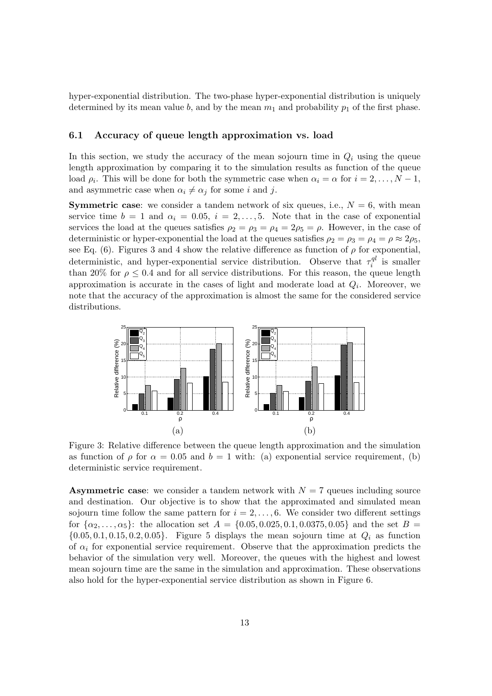hyper-exponential distribution. The two-phase hyper-exponential distribution is uniquely determined by its mean value b, and by the mean  $m_1$  and probability  $p_1$  of the first phase.

# 6.1 Accuracy of queue length approximation vs. load

In this section, we study the accuracy of the mean sojourn time in  $Q_i$  using the queue length approximation by comparing it to the simulation results as function of the queue load  $\rho_i$ . This will be done for both the symmetric case when  $\alpha_i = \alpha$  for  $i = 2, \ldots, N - 1$ , and asymmetric case when  $\alpha_i \neq \alpha_j$  for some i and j.

**Symmetric case:** we consider a tandem network of six queues, i.e.,  $N = 6$ , with mean service time  $b = 1$  and  $\alpha_i = 0.05$ ,  $i = 2, \ldots, 5$ . Note that in the case of exponential services the load at the queues satisfies  $\rho_2 = \rho_3 = \rho_4 = 2\rho_5 = \rho$ . However, in the case of deterministic or hyper-exponential the load at the queues satisfies  $\rho_2 = \rho_3 = \rho_4 = \rho \approx 2\rho_5$ , see Eq. (6). Figures 3 and 4 show the relative difference as function of  $\rho$  for exponential, deterministic, and hyper-exponential service distribution. Observe that  $\tau_i^{ql}$  $i^{q}$  is smaller than 20% for  $\rho \leq 0.4$  and for all service distributions. For this reason, the queue length approximation is accurate in the cases of light and moderate load at  $Q_i$ . Moreover, we note that the accuracy of the approximation is almost the same for the considered service distributions.



Figure 3: Relative difference between the queue length approximation and the simulation as function of  $\rho$  for  $\alpha = 0.05$  and  $b = 1$  with: (a) exponential service requirement, (b) deterministic service requirement.

**Asymmetric case:** we consider a tandem network with  $N = 7$  queues including source and destination. Our objective is to show that the approximated and simulated mean sojourn time follow the same pattern for  $i = 2, \ldots, 6$ . We consider two different settings for  $\{\alpha_2, \ldots, \alpha_5\}$ : the allocation set  $A = \{0.05, 0.025, 0.1, 0.0375, 0.05\}$  and the set  $B =$  $\{0.05, 0.1, 0.15, 0.2, 0.05\}$ . Figure 5 displays the mean sojourn time at  $Q_i$  as function of  $\alpha_i$  for exponential service requirement. Observe that the approximation predicts the behavior of the simulation very well. Moreover, the queues with the highest and lowest mean sojourn time are the same in the simulation and approximation. These observations also hold for the hyper-exponential service distribution as shown in Figure 6.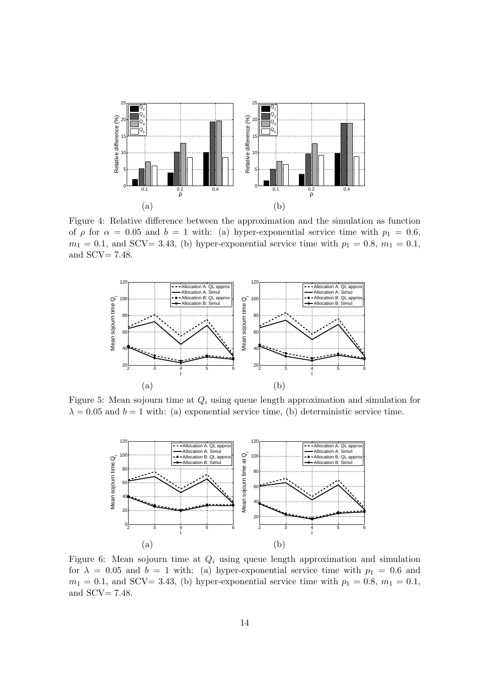

Figure 4: Relative difference between the approximation and the simulation as function of  $\rho$  for  $\alpha = 0.05$  and  $b = 1$  with: (a) hyper-exponential service time with  $p_1 = 0.6$ ,  $m_1 = 0.1$ , and SCV= 3.43, (b) hyper-exponential service time with  $p_1 = 0.8$ ,  $m_1 = 0.1$ , and SCV= 7.48.



Figure 5: Mean sojourn time at  $Q_i$  using queue length approximation and simulation for  $\lambda = 0.05$  and  $b = 1$  with: (a) exponential service time, (b) deterministic service time.



Figure 6: Mean sojourn time at  $Q_i$  using queue length approximation and simulation for  $\lambda = 0.05$  and  $b = 1$  with: (a) hyper-exponential service time with  $p_1 = 0.6$  and  $m_1 = 0.1$ , and SCV= 3.43, (b) hyper-exponential service time with  $p_1 = 0.8$ ,  $m_1 = 0.1$ , and SCV= 7.48.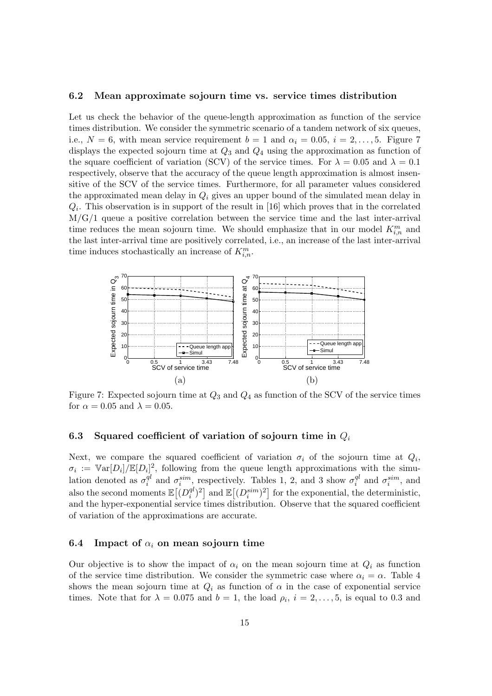#### 6.2 Mean approximate sojourn time vs. service times distribution

Let us check the behavior of the queue-length approximation as function of the service times distribution. We consider the symmetric scenario of a tandem network of six queues, i.e.,  $N = 6$ , with mean service requirement  $b = 1$  and  $\alpha_i = 0.05$ ,  $i = 2, \ldots, 5$ . Figure 7 displays the expected sojourn time at  $Q_3$  and  $Q_4$  using the approximation as function of the square coefficient of variation (SCV) of the service times. For  $\lambda = 0.05$  and  $\lambda = 0.1$ respectively, observe that the accuracy of the queue length approximation is almost insensitive of the SCV of the service times. Furthermore, for all parameter values considered the approximated mean delay in  $Q_i$  gives an upper bound of the simulated mean delay in  $Q_i$ . This observation is in support of the result in [16] which proves that in the correlated  $M/G/1$  queue a positive correlation between the service time and the last inter-arrival time reduces the mean sojourn time. We should emphasize that in our model  $K_{i,n}^m$  and the last inter-arrival time are positively correlated, i.e., an increase of the last inter-arrival time induces stochastically an increase of  $K_{i,n}^m$ .



Figure 7: Expected sojourn time at  $Q_3$  and  $Q_4$  as function of the SCV of the service times for  $\alpha = 0.05$  and  $\lambda = 0.05$ .

## 6.3 Squared coefficient of variation of sojourn time in  $Q_i$

Next, we compare the squared coefficient of variation  $\sigma_i$  of the sojourn time at  $Q_i$ ,  $\sigma_i := \mathbb{V}\text{ar}[D_i]/\mathbb{E}[D_i]^2$ , following from the queue length approximations with the simulation denoted as  $\sigma_i^{ql}$  $\sigma_i^{ql}$  and  $\sigma_i^{sim}$ , respectively. Tables 1, 2, and 3 show  $\sigma_i^{ql}$  $\sigma_i^{sim}$ , respectively. Tables 1, 2, and 3 show  $\sigma_i^{ql}$  and  $\sigma_i^{sim}$ , and also the second moments  $\mathbb{E}[(D_i^{ql}$  $\binom{q}{i}^2$  and  $\mathbb{E}\left[ (D_i^{sim})^2 \right]$  for the exponential, the deterministic, and the hyper-exponential service times distribution. Observe that the squared coefficient of variation of the approximations are accurate.

# 6.4 Impact of  $\alpha_i$  on mean sojourn time

Our objective is to show the impact of  $\alpha_i$  on the mean sojourn time at  $Q_i$  as function of the service time distribution. We consider the symmetric case where  $\alpha_i = \alpha$ . Table 4 shows the mean sojourn time at  $Q_i$  as function of  $\alpha$  in the case of exponential service times. Note that for  $\lambda = 0.075$  and  $b = 1$ , the load  $\rho_i$ ,  $i = 2, \ldots, 5$ , is equal to 0.3 and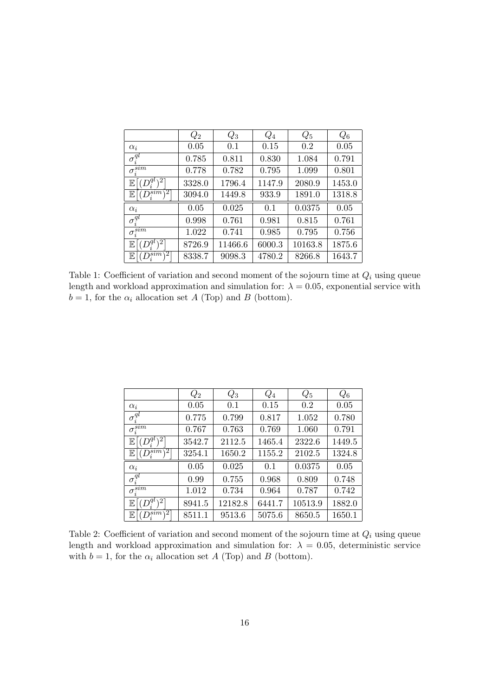|                                                               | $\,Q_2$ | $Q_3$   | $Q_4$  | $Q_{5}$ | $Q_6$  |
|---------------------------------------------------------------|---------|---------|--------|---------|--------|
| $\alpha_i$                                                    | 0.05    | 0.1     | 0.15   | 0.2     | 0.05   |
| $\bar{\sigma_i^{ql}}$                                         | 0.785   | 0.811   | 0.830  | 1.084   | 0.791  |
| $\sigma_i^{\overline{sim}}$                                   | 0.778   | 0.782   | 0.795  | 1.099   | 0.801  |
| $2^{-}$<br>$\bar{D}_i^{q\bar{t}}$<br>$\mathbb E$              | 3328.0  | 1796.4  | 1147.9 | 2080.9  | 1453.0 |
| $\overline{2}$<br>$\overrightarrow{D_i^{sim}}$<br>$\mathbb E$ | 3094.0  | 1449.8  | 933.9  | 1891.0  | 1318.8 |
| $\alpha_i$                                                    | 0.05    | 0.025   | 0.1    | 0.0375  | 0.05   |
| $\sigma_i^{ql}$                                               | 0.998   | 0.761   | 0.981  | 0.815   | 0.761  |
| $\sigma_i^{\overline{sim}}$                                   | 1.022   | 0.741   | 0.985  | 0.795   | 0.756  |
| $2^{\circ}$<br>$\mathbb E$                                    | 8726.9  | 11466.6 | 6000.3 | 10163.8 | 1875.6 |
| $^{2}$<br>$D_i^{\overline{sim}}$<br>$\mathbb E$               | 8338.7  | 9098.3  | 4780.2 | 8266.8  | 1643.7 |

Table 1: Coefficient of variation and second moment of the sojourn time at  $Q_i$  using queue length and workload approximation and simulation for:  $\lambda = 0.05$ , exponential service with  $b = 1$ , for the  $\alpha_i$  allocation set A (Top) and B (bottom).

|                                                         | $\,Q_2$ | $Q_3$   | $Q_4$  | $Q_{5}$ | $Q_6$  |
|---------------------------------------------------------|---------|---------|--------|---------|--------|
| $\alpha_i$                                              | 0.05    | 0.1     | 0.15   | 0.2     | 0.05   |
| $\bar{\sigma}_i^{ql}$                                   | 0.775   | 0.799   | 0.817  | 1.052   | 0.780  |
| $\sigma_i^{\overline{sim}}$                             | 0.767   | 0.763   | 0.769  | 1.060   | 0.791  |
| $2^{-}$<br>$\mathbb E$                                  | 3542.7  | 2112.5  | 1465.4 | 2322.6  | 1449.5 |
| 2<br>$\overline{D_i^{sim}}$<br>$\mathbb E$              | 3254.1  | 1650.2  | 1155.2 | 2102.5  | 1324.8 |
| $\alpha_i$                                              | 0.05    | 0.025   | 0.1    | 0.0375  | 0.05   |
| $\sigma_i^{ql}$                                         | 0.99    | 0.755   | 0.968  | 0.809   | 0.748  |
| $\sigma_i^{\overline{sim}}$                             | 1.012   | 0.734   | 0.964  | 0.787   | 0.742  |
| $2^{-}$<br>$\mathbb E$                                  | 8941.5  | 12182.8 | 6441.7 | 10513.9 | 1882.0 |
| $\overline{2}$<br>$D_i^{\overline{sim}}$<br>$\mathbb E$ | 8511.1  | 9513.6  | 5075.6 | 8650.5  | 1650.1 |

Table 2: Coefficient of variation and second moment of the sojourn time at  $Q_i$  using queue length and workload approximation and simulation for:  $\lambda = 0.05$ , deterministic service with  $b = 1$ , for the  $\alpha_i$  allocation set A (Top) and B (bottom).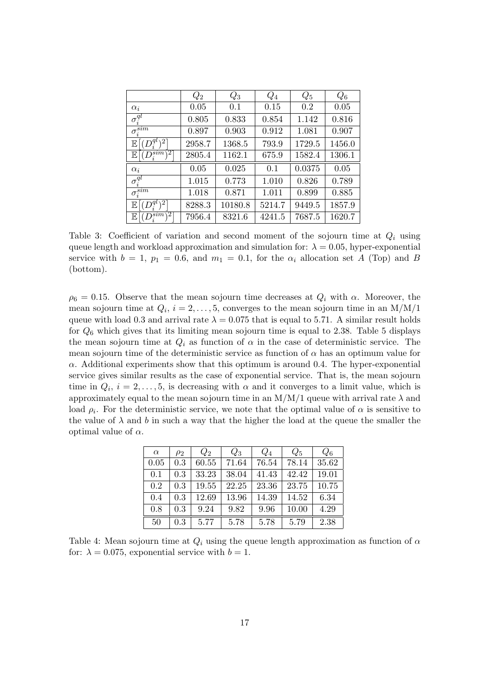|                                                         | $Q_2$  | $Q_3$   | $\,Q_4$ | $Q_{5}$ | $Q_6$  |
|---------------------------------------------------------|--------|---------|---------|---------|--------|
| $\alpha_i$                                              | 0.05   | 0.1     | 0.15    | 0.2     | 0.05   |
| $\sigma_i^{ql}$                                         | 0.805  | 0.833   | 0.854   | 1.142   | 0.816  |
| $\sigma_i^{\overline{sim}}$                             | 0.897  | 0.903   | 0.912   | 1.081   | 0.907  |
| $2^{\circ}$<br>$\mathbb E$                              | 2958.7 | 1368.5  | 793.9   | 1729.5  | 1456.0 |
| $\overline{2}$<br>$\overline{D_i^{sim}}$<br>$\mathbb E$ | 2805.4 | 1162.1  | 675.9   | 1582.4  | 1306.1 |
| $\alpha_i$                                              | 0.05   | 0.025   | 0.1     | 0.0375  | 0.05   |
| $\sigma_i^{ql}$                                         | 1.015  | 0.773   | 1.010   | 0.826   | 0.789  |
| $\sigma_i^{\overline{sim}}$                             | 1.018  | 0.871   | 1.011   | 0.899   | 0.885  |
| $^{2}$<br>$\mathbb E$                                   | 8288.3 | 10180.8 | 5214.7  | 9449.5  | 1857.9 |
| $D_i^{\overline{sim}}$ .<br>$\mathbb E$                 | 7956.4 | 8321.6  | 4241.5  | 7687.5  | 1620.7 |

Table 3: Coefficient of variation and second moment of the sojourn time at  $Q_i$  using queue length and workload approximation and simulation for:  $\lambda = 0.05$ , hyper-exponential service with  $b = 1$ ,  $p_1 = 0.6$ , and  $m_1 = 0.1$ , for the  $\alpha_i$  allocation set A (Top) and B (bottom).

 $\rho_6 = 0.15$ . Observe that the mean sojourn time decreases at  $Q_i$  with  $\alpha$ . Moreover, the mean sojourn time at  $Q_i$ ,  $i = 2, \ldots, 5$ , converges to the mean sojourn time in an  $M/M/1$ queue with load 0.3 and arrival rate  $\lambda = 0.075$  that is equal to 5.71. A similar result holds for  $Q_6$  which gives that its limiting mean sojourn time is equal to 2.38. Table 5 displays the mean sojourn time at  $Q_i$  as function of  $\alpha$  in the case of deterministic service. The mean sojourn time of the deterministic service as function of  $\alpha$  has an optimum value for  $\alpha$ . Additional experiments show that this optimum is around 0.4. The hyper-exponential service gives similar results as the case of exponential service. That is, the mean sojourn time in  $Q_i$ ,  $i = 2, \ldots, 5$ , is decreasing with  $\alpha$  and it converges to a limit value, which is approximately equal to the mean sojourn time in an  $M/M/1$  queue with arrival rate  $\lambda$  and load  $\rho_i$ . For the deterministic service, we note that the optimal value of  $\alpha$  is sensitive to the value of  $\lambda$  and b in such a way that the higher the load at the queue the smaller the optimal value of  $\alpha$ .

| $\alpha$ | $\rho_2$ | $Q_2$ | $Q_3$ | $Q_4$ | $Q_5$ | $Q_6$ |
|----------|----------|-------|-------|-------|-------|-------|
| 0.05     | 0.3      | 60.55 | 71.64 | 76.54 | 78.14 | 35.62 |
| 0.1      | 0.3      | 33.23 | 38.04 | 41.43 | 42.42 | 19.01 |
| 0.2      | 0.3      | 19.55 | 22.25 | 23.36 | 23.75 | 10.75 |
| 0.4      | 0.3      | 12.69 | 13.96 | 14.39 | 14.52 | 6.34  |
| 0.8      | 0.3      | 9.24  | 9.82  | 9.96  | 10.00 | 4.29  |
| 50       | 0.3      | 5.77  | 5.78  | 5.78  | 5.79  | 2.38  |

Table 4: Mean sojourn time at  $Q_i$  using the queue length approximation as function of  $\alpha$ for:  $\lambda = 0.075$ , exponential service with  $b = 1$ .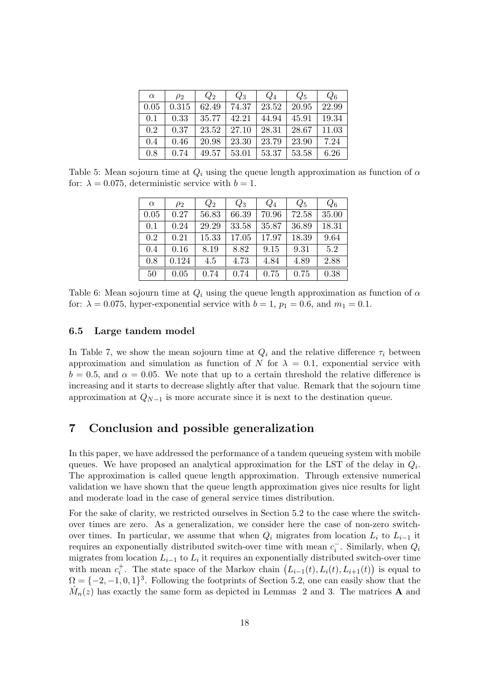| $\alpha$ | $\rho_2$ | $Q_2$ | $Q_3$ | $Q_4$ | $Q_5$ | $Q_6$ |
|----------|----------|-------|-------|-------|-------|-------|
| 0.05     | 0.315    | 62.49 | 74.37 | 23.52 | 20.95 | 22.99 |
| 0.1      | 0.33     | 35.77 | 42.21 | 44.94 | 45.91 | 19.34 |
| 0.2      | 0.37     | 23.52 | 27.10 | 28.31 | 28.67 | 11.03 |
| 0.4      | 0.46     | 20.98 | 23.30 | 23.79 | 23.90 | 7.24  |
| 0.8      | 0.74     | 49.57 | 53.01 | 53.37 | 53.58 | 6.26  |

Table 5: Mean sojourn time at  $Q_i$  using the queue length approximation as function of  $\alpha$ for:  $\lambda = 0.075$ , deterministic service with  $b = 1$ .

| $\alpha$ | $\rho_2$ | $\scriptstyle Q_2$ | $Q_3$ | $Q_4$ | $Q_5$ | $Q_6$ |
|----------|----------|--------------------|-------|-------|-------|-------|
| 0.05     | 0.27     | 56.83              | 66.39 | 70.96 | 72.58 | 35.00 |
| 0.1      | 0.24     | 29.29              | 33.58 | 35.87 | 36.89 | 18.31 |
| 0.2      | 0.21     | 15.33              | 17.05 | 17.97 | 18.39 | 9.64  |
| 0.4      | 0.16     | 8.19               | 8.82  | 9.15  | 9.31  | 5.2   |
| 0.8      | 0.124    | 4.5                | 4.73  | 4.84  | 4.89  | 2.88  |
| 50       | 0.05     | 0.74               | 0.74  | 0.75  | 0.75  | 0.38  |

Table 6: Mean sojourn time at  $Q_i$  using the queue length approximation as function of  $\alpha$ for:  $\lambda = 0.075$ , hyper-exponential service with  $b = 1$ ,  $p_1 = 0.6$ , and  $m_1 = 0.1$ .

## 6.5 Large tandem model

In Table 7, we show the mean sojourn time at  $Q_i$  and the relative difference  $\tau_i$  between approximation and simulation as function of N for  $\lambda = 0.1$ , exponential service with  $b = 0.5$ , and  $\alpha = 0.05$ . We note that up to a certain threshold the relative difference is increasing and it starts to decrease slightly after that value. Remark that the sojourn time approximation at  $Q_{N-1}$  is more accurate since it is next to the destination queue.

# 7 Conclusion and possible generalization

In this paper, we have addressed the performance of a tandem queueing system with mobile queues. We have proposed an analytical approximation for the LST of the delay in  $Q_i$ . The approximation is called queue length approximation. Through extensive numerical validation we have shown that the queue length approximation gives nice results for light and moderate load in the case of general service times distribution.

For the sake of clarity, we restricted ourselves in Section 5.2 to the case where the switchover times are zero. As a generalization, we consider here the case of non-zero switchover times. In particular, we assume that when  $Q_i$  migrates from location  $L_i$  to  $L_{i-1}$  it requires an exponentially distributed switch-over time with mean  $c_i^{\dagger}$ . Similarly, when  $Q_i$ migrates from location  $L_{i-1}$  to  $L_i$  it requires an exponentially distributed switch-over time migrates from location  $L_{i-1}$  to  $L_i$  it requires an exponentially distributed switch-over time<br>with mean  $c_i^+$ . The state space of the Markov chain  $(L_{i-1}(t), L_i(t), L_{i+1}(t))$  is equal to  $\Omega = \{-2, -1, 0, 1\}^3$ . Following the footprints of Section 5.2, one can easily show that the  $\hat{M}_n(z)$  has exactly the same form as depicted in Lemmas 2 and 3. The matrices **A** and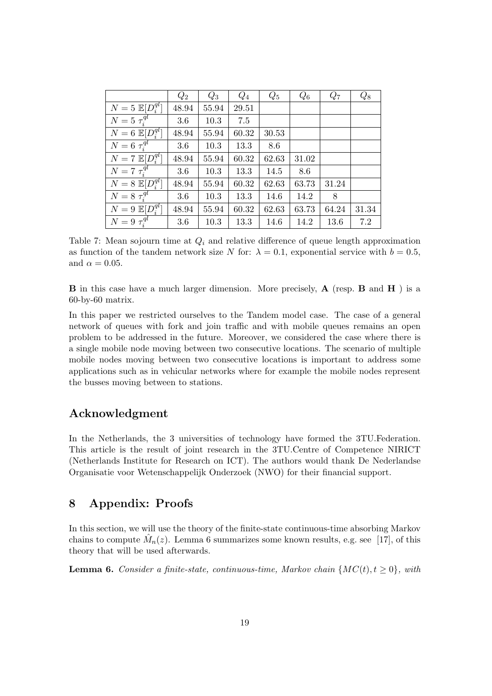|                              | $Q_2$ | $Q_3$ | $Q_4$ | $Q_5$ | $Q_6$ | $Q_7$ | $Q_8$ |
|------------------------------|-------|-------|-------|-------|-------|-------|-------|
| $N=5$ $\mathbb{E}[D_i^{ql}]$ | 48.94 | 55.94 | 29.51 |       |       |       |       |
| $N=5\,\tau_i^{ql}$           | 3.6   | 10.3  | 7.5   |       |       |       |       |
| $N=6$ $\mathbb{E}[D_i^{ql}]$ | 48.94 | 55.94 | 60.32 | 30.53 |       |       |       |
| $N=6\,\tau_i^{ql}$           | 3.6   | 10.3  | 13.3  | 8.6   |       |       |       |
| $N=7$ $\mathbb{E}[D_i^{ql}]$ | 48.94 | 55.94 | 60.32 | 62.63 | 31.02 |       |       |
| $N=7 \tau_i^{ql}$            | 3.6   | 10.3  | 13.3  | 14.5  | 8.6   |       |       |
| $N=8$ $\mathbb{E}[D_i^{ql}]$ | 48.94 | 55.94 | 60.32 | 62.63 | 63.73 | 31.24 |       |
| $N=8\,\,\tau_i^{ql}$         | 3.6   | 10.3  | 13.3  | 14.6  | 14.2  | 8     |       |
| $N=9$ $\mathbb{E}[D_i^{ql}]$ | 48.94 | 55.94 | 60.32 | 62.63 | 63.73 | 64.24 | 31.34 |
| $N=9\tau_i^{ql}$             | 3.6   | 10.3  | 13.3  | 14.6  | 14.2  | 13.6  | 7.2   |

Table 7: Mean sojourn time at  $Q_i$  and relative difference of queue length approximation as function of the tandem network size N for:  $\lambda = 0.1$ , exponential service with  $b = 0.5$ , and  $\alpha = 0.05$ .

**B** in this case have a much larger dimension. More precisely, **A** (resp. **B** and **H**) is a 60-by-60 matrix.

In this paper we restricted ourselves to the Tandem model case. The case of a general network of queues with fork and join traffic and with mobile queues remains an open problem to be addressed in the future. Moreover, we considered the case where there is a single mobile node moving between two consecutive locations. The scenario of multiple mobile nodes moving between two consecutive locations is important to address some applications such as in vehicular networks where for example the mobile nodes represent the busses moving between to stations.

# Acknowledgment

In the Netherlands, the 3 universities of technology have formed the 3TU.Federation. This article is the result of joint research in the 3TU.Centre of Competence NIRICT (Netherlands Institute for Research on ICT). The authors would thank De Nederlandse Organisatie voor Wetenschappelijk Onderzoek (NWO) for their financial support.

# 8 Appendix: Proofs

In this section, we will use the theory of the finite-state continuous-time absorbing Markov chains to compute  $\hat{M}_n(z)$ . Lemma 6 summarizes some known results, e.g. see [17], of this theory that will be used afterwards.

**Lemma 6.** Consider a finite-state, continuous-time, Markov chain  $\{MC(t), t \ge 0\}$ , with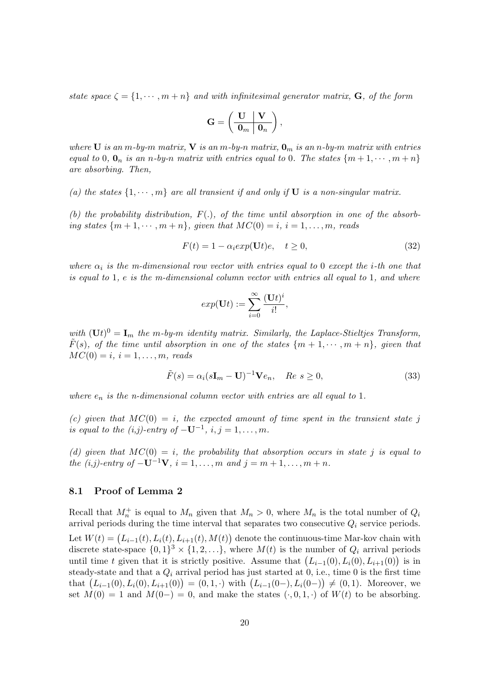state space  $\zeta = \{1, \dots, m+n\}$  and with infinitesimal generator matrix, **G**, of the form

$$
\mathbf{G} = \left(\begin{array}{c|c} \mathbf{U} & \mathbf{V} \\ \hline \mathbf{0}_m & \mathbf{0}_n \end{array}\right),
$$

where U is an m-by-m matrix, V is an m-by-n matrix,  $\mathbf{0}_m$  is an n-by-m matrix with entries equal to 0,  $\mathbf{0}_n$  is an n-by-n matrix with entries equal to 0. The states  $\{m+1,\dots,m+n\}$ are absorbing. Then,

(a) the states  $\{1, \dots, m\}$  are all transient if and only if **U** is a non-singular matrix.

(b) the probability distribution,  $F(.)$ , of the time until absorption in one of the absorbing states  $\{m+1, \dots, m+n\}$ , given that  $MC(0) = i$ ,  $i = 1, \dots, m$ , reads

$$
F(t) = 1 - \alpha_i exp(\mathbf{U}t)e, \quad t \ge 0,
$$
\n(32)

where  $\alpha_i$  is the m-dimensional row vector with entries equal to 0 except the *i*-th one that is equal to 1, e is the m-dimensional column vector with entries all equal to 1, and where

$$
exp(\mathbf{U}t) := \sum_{i=0}^{\infty} \frac{(\mathbf{U}t)^i}{i!},
$$

with  $(\mathbf{U}t)^0 = \mathbf{I}_m$  the m-by-m identity matrix. Similarly, the Laplace-Stieltjes Transform,  $\tilde{F}(s)$ , of the time until absorption in one of the states  $\{m+1,\dots,m+n\}$ , given that  $MC(0) = i, i = 1, \ldots, m, \text{ reads}$ 

$$
\tilde{F}(s) = \alpha_i (s\mathbf{I}_m - \mathbf{U})^{-1} \mathbf{V} e_n, \quad Re \ s \ge 0,
$$
\n(33)

where  $e_n$  is the n-dimensional column vector with entries are all equal to 1.

(c) given that  $MC(0) = i$ , the expected amount of time spent in the transient state j is equal to the  $(i,j)$ -entry of  $-\mathbf{U}^{-1}$ ,  $i, j = 1, \ldots, m$ .

(d) given that  $MC(0) = i$ , the probability that absorption occurs in state j is equal to the (i,j)-entry of  $-\mathbf{U}^{-1}\mathbf{V}$ ,  $i = 1, \ldots, m$  and  $j = m + 1, \ldots, m + n$ .

#### 8.1 Proof of Lemma 2

Recall that  $M_n^+$  is equal to  $M_n$  given that  $M_n > 0$ , where  $M_n$  is the total number of  $Q_i$ arrival periods during the time interval that separates two consecutive  $Q_i$  service periods.

Let  $W(t) = (L_{i-1}(t), L_i(t), L_{i+1}(t), M(t))$ ¢ denote the continuous-time Mar-kov chain with discrete state-space  $\{0,1\}^3 \times \{1,2,\ldots\}$ , where  $M(t)$  is the number of  $Q_i$  arrival periods discrete state-space  $\{0,1\}^* \times \{1,2,\ldots\}$ , where  $M(t)$  is the filmmer of  $Q_i$  arrival periods until time t given that it is strictly positive. Assume that  $(L_{i-1}(0), L_i(0), L_{i+1}(0))$  is in steady-state and that a  $Q_i$  arrival period has just started at 0, i.e., time 0 is the first time steady-state and that a  $Q_i$  arrival period has just started at 0, i.e., time 0 is the first time<br>that  $(L_{i-1}(0), L_i(0), L_{i+1}(0)) = (0, 1, \cdot)$  with  $(L_{i-1}(0-), L_i(0-)) \neq (0, 1)$ . Moreover, we set  $M(0) = 1$  and  $M(0-) = 0$ , and make the states  $(·, 0, 1, ·)$  of  $W(t)$  to be absorbing.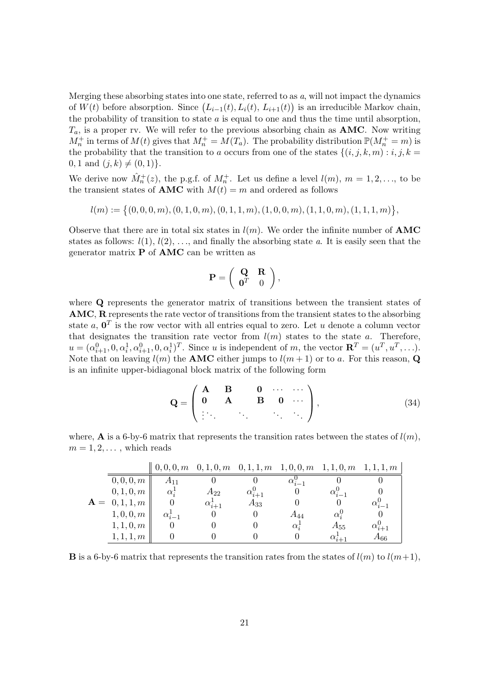Merging these absorbing states into one state, referred to as  $a$ , will not impact the dynamics the sum the absorption of the state, in the state, the state of  $W(t)$  before absorption. Since  $(L_{i-1}(t), L_i(t), L_{i+1}(t))$  is an irreducible Markov chain, the probability of transition to state  $a$  is equal to one and thus the time until absorption,  $T_a$ , is a proper rv. We will refer to the previous absorbing chain as **AMC**. Now writing  $M_n^+$  in terms of  $M(t)$  gives that  $M_n^+ = M(T_a)$ . The probability distribution  $\mathbb{P}(M_n^+ = m)$  is the probability that the transition to a occurs from one of the states  $\{(i, j, k, m) : i, j, k =$ 0, 1 and  $(j, k) \neq (0, 1)$ .

We derive now  $\hat{M}_n^+(z)$ , the p.g.f. of  $M_n^+$ . Let us define a level  $l(m)$ ,  $m = 1, 2, \ldots$ , to be the transient states of **AMC** with  $M(t) = m$  and ordered as follows

 $l(m) := \{(0, 0, 0, m), (0, 1, 0, m), (0, 1, 1, m), (1, 0, 0, m), (1, 1, 0, m), (1, 1, 1, m)\}$ ª ,

Observe that there are in total six states in  $l(m)$ . We order the infinite number of AMC states as follows:  $l(1), l(2), \ldots$ , and finally the absorbing state a. It is easily seen that the generator matrix P of AMC can be written as

$$
\mathbf{P} = \left( \begin{array}{cc} \mathbf{Q} & \mathbf{R} \\ \mathbf{0}^T & 0 \end{array} \right),
$$

where Q represents the generator matrix of transitions between the transient states of AMC, R represents the rate vector of transitions from the transient states to the absorbing state  $a, \mathbf{0}^T$  is the row vector with all entries equal to zero. Let u denote a column vector that designates the transition rate vector from  $l(m)$  states to the state a. Therefore,  $u = (\alpha_{i+1}^0, 0, \alpha_i^1, \alpha_{i+1}^0, 0, \alpha_i^1)^T$ . Since u is independent of m, the vector  $\mathbf{R}^T = (u^T, u^T, \dots)$ . Note that on leaving  $l(m)$  the **AMC** either jumps to  $l(m+1)$  or to a. For this reason, **Q** is an infinite upper-bidiagonal block matrix of the following form

$$
\mathbf{Q} = \left( \begin{array}{cccc} \mathbf{A} & \mathbf{B} & \mathbf{0} & \cdots & \cdots \\ \mathbf{0} & \mathbf{A} & \mathbf{B} & \mathbf{0} & \cdots \\ \vdots & \vdots & \ddots & \ddots & \ddots \end{array} \right), \tag{34}
$$

where, **A** is a 6-by-6 matrix that represents the transition rates between the states of  $l(m)$ ,  $m = 1, 2, \ldots$ , which reads

|             |            | 0, 0, 0, m       | 0, 1, 0, m     | 0, 1, 1, m       | 1, 0, 0, m       | 1, 1, 0, m       | 1, 1, 1, m       |
|-------------|------------|------------------|----------------|------------------|------------------|------------------|------------------|
|             | 0, 0, 0, m | $A_{11}$         |                |                  | $\alpha_{i-1}$   |                  |                  |
|             | 0, 1, 0, m | $\alpha_i^{\pm}$ | $A_{22}$       | $\alpha_{i+1}^0$ |                  | $\alpha_{i-1}^0$ |                  |
| ${\bf A} =$ | 0, 1, 1, m |                  | $\alpha_{i+1}$ | $A_{33}$         |                  |                  | $\alpha_{i-1}^0$ |
|             | 1, 0, 0, m | $\alpha_{i-1}$   |                |                  | $A_{44}$         | $\alpha_i^0$     |                  |
|             | 1, 1, 0, m |                  |                |                  | $\alpha_i^{\pm}$ | $A_{55}$         | $\alpha^0_{i+1}$ |
|             | 1, 1, 1, m |                  |                |                  |                  | $\alpha_{i+1}$   | $A_{66}$         |

**B** is a 6-by-6 matrix that represents the transition rates from the states of  $l(m)$  to  $l(m+1)$ ,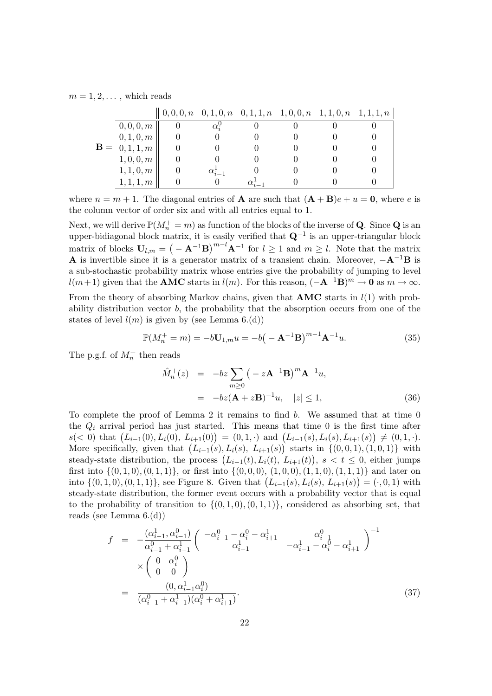$m = 1, 2, \ldots$ , which reads

|                  | $\mid 0,0,0,n \mid 0,1,0,n \mid 0,1,1,n \mid 1,0,0,n \mid 1,1,0,n \mid 1,1,1,n \mid$ |                |  |  |
|------------------|--------------------------------------------------------------------------------------|----------------|--|--|
| 0,0,0,m          |                                                                                      |                |  |  |
| 0, 1, 0, m       |                                                                                      |                |  |  |
| $B = 0, 1, 1, m$ |                                                                                      |                |  |  |
| 1, 0, 0, m       |                                                                                      |                |  |  |
| 1, 1, 0, m       |                                                                                      | $\alpha_{i-1}$ |  |  |
| 1, 1, 1, m       |                                                                                      |                |  |  |

where  $n = m + 1$ . The diagonal entries of **A** are such that  $(A + B)e + u = 0$ , where e is the column vector of order six and with all entries equal to 1.

Next, we will derive  $\mathbb{P}(M_n^+ = m)$  as function of the blocks of the inverse of **Q**. Since **Q** is an upper-bidiagonal block matrix, it is easily verified that  $\mathbf{Q}^{-1}$  is an upper-triangular block matrix of blocks  $\mathbf{U}_{l,m} =$  $(-\mathbf{A}^{-1}\mathbf{B})^{m-l}\mathbf{A}^{-1}$  for  $l \ge 1$  and  $m \ge l$ . Note that the matrix **A** is invertible since it is a generator matrix of a transient chain. Moreover,  $-\mathbf{A}^{-1}\mathbf{B}$  is a sub-stochastic probability matrix whose entries give the probability of jumping to level  $l(m+1)$  given that the **AMC** starts in  $l(m)$ . For this reason,  $(-\mathbf{A}^{-1}\mathbf{B})^m \to \mathbf{0}$  as  $m \to \infty$ .

From the theory of absorbing Markov chains, given that  $AMC$  starts in  $l(1)$  with probability distribution vector  $b$ , the probability that the absorption occurs from one of the states of level  $l(m)$  is given by (see Lemma 6.(d))

$$
\mathbb{P}(M_n^+ = m) = -b\mathbf{U}_{1,m}u = -b(-\mathbf{A}^{-1}\mathbf{B})^{m-1}\mathbf{A}^{-1}u.
$$
 (35)

The p.g.f. of  $M_n^+$  then reads

$$
\hat{M}_n^+(z) = -bz \sum_{m \ge 0} \left( -z \mathbf{A}^{-1} \mathbf{B} \right)^m \mathbf{A}^{-1} u,
$$
  
=  $-bz (\mathbf{A} + z \mathbf{B})^{-1} u, \quad |z| \le 1,$  (36)

To complete the proof of Lemma 2 it remains to find b. We assumed that at time  $0$ the  $Q_i$  arrival period has just started. This means that time 0 is the first time after the  $Q_i$  arrival period has just started. This means that time 0 is the first time after  $s(< 0)$  that  $(L_{i-1}(0), L_i(0), L_{i+1}(0)) = (0, 1, \cdot)$  and  $(L_{i-1}(s), L_i(s), L_{i+1}(s)) \neq (0, 1, \cdot)$ .  $s(<sub>0</sub>)$  that  $(L_{i-1}(0), L_i(0), L_{i+1}(0)) = (0, 1, \cdot)$  and  $(L_{i-1}(s), L_i(s), L_{i+1}(s)) \neq (0, 1, \cdot)$ .<br>More specifically, given that  $(L_{i-1}(s), L_i(s), L_{i+1}(s))$  starts in  $\{(0, 0, 1), (1, 0, 1)\}$  with steady-state distribution, the process  $(L_{i-1}(t), L_i(t), L_{i+1}(t))$ ,  $s < t \leq 0$ , either jumps first into  $\{(0,1,0),(0,1,1)\}$ , or first into  $\{(0,0,0),(1,0,0),(1,1,0),(1,1,1)\}$  and later on into  $\{(0,1,0), (0,1,1)\}$ , or first into  $\{(0,0,0), (1,0,0), (1,1,0), (1,1,1)\}$  and later on<br>into  $\{(0,1,0), (0,1,1)\}$ , see Figure 8. Given that  $(L_{i-1}(s), L_i(s), L_{i+1}(s)) = (\cdot, 0, 1)$  with steady-state distribution, the former event occurs with a probability vector that is equal to the probability of transition to  $\{(0,1,0), (0,1,1)\}\)$ , considered as absorbing set, that reads (see Lemma 6.(d))

$$
f = -\frac{(\alpha_{i-1}^1, \alpha_{i-1}^0)}{\alpha_{i-1}^0 + \alpha_{i-1}^1} \left( \begin{array}{cc} -\alpha_{i-1}^0 - \alpha_{i}^0 - \alpha_{i+1}^1 & \alpha_{i-1}^0 \\ \alpha_{i-1}^1 & -\alpha_{i-1}^1 - \alpha_{i}^0 - \alpha_{i+1}^1 \end{array} \right)^{-1}
$$
  
\n
$$
\times \left( \begin{array}{cc} 0 & \alpha_i^0 \\ 0 & 0 \end{array} \right)
$$
  
\n
$$
= \frac{(0, \alpha_{i-1}^1 \alpha_i^0)}{(\alpha_{i-1}^0 + \alpha_{i-1}^1)(\alpha_i^0 + \alpha_{i+1}^1)}.
$$
 (37)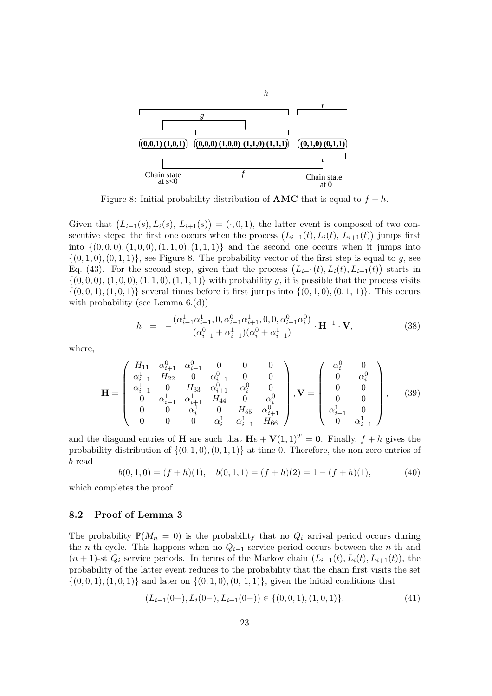

Figure 8: Initial probability distribution of **AMC** that is equal to  $f + h$ .

Given that  $(L_{i-1}(s), L_i(s), L_{i+1}(s))$ ¢  $= (\cdot, 0, 1)$ , the latter event is composed of two con-Given that  $(L_{i-1}(s), L_i(s), L_{i+1}(s)) = (\cdot, 0, 1)$ , the latter event is composed of two consecutive steps: the first one occurs when the process  $(L_{i-1}(t), L_i(t), L_{i+1}(t))$  jumps first into  $\{(0, 0, 0), (1, 0, 0), (1, 1, 0), (1, 1, 1)\}$  and the second one occurs when it jumps into  $\{(0,1,0),(0,1,1)\}\)$ , see Figure 8. The probability vector of the first step is equal to g, see  $\mathbb{E}_{\mathbf{Q}}$ . (43). For the second step, given that the process  $(L_{i-1}(t), L_i(t), L_{i+1}(t))$  starts in  $\{(0, 0, 0), (1, 0, 0), (1, 1, 0), (1, 1, 1)\}\$  with probability g, it is possible that the process visits  $\{(0, 0, 1), (1, 0, 1)\}\$  several times before it first jumps into  $\{(0, 1, 0), (0, 1, 1)\}\$ . This occurs with probability (see Lemma  $6.(d)$ )

$$
h = -\frac{(\alpha_{i-1}^1 \alpha_{i+1}^1, 0, \alpha_{i-1}^0 \alpha_{i+1}^1, 0, 0, \alpha_{i-1}^0 \alpha_i^0)}{(\alpha_{i-1}^0 + \alpha_{i-1}^1)(\alpha_i^0 + \alpha_{i+1}^1)} \cdot \mathbf{H}^{-1} \cdot \mathbf{V},
$$
\n(38)

where,

$$
\mathbf{H} = \begin{pmatrix} H_{11} & \alpha_{i+1}^{0} & \alpha_{i-1}^{0} & 0 & 0 & 0 \\ \alpha_{i+1}^{1} & H_{22} & 0 & \alpha_{i-1}^{0} & 0 & 0 \\ \alpha_{i-1}^{1} & 0 & H_{33} & \alpha_{i+1}^{0} & \alpha_{i}^{0} & 0 \\ 0 & \alpha_{i-1}^{1} & \alpha_{i+1}^{1} & H_{44} & 0 & \alpha_{i}^{0} \\ 0 & 0 & \alpha_{i}^{1} & 0 & H_{55} & \alpha_{i+1}^{0} \\ 0 & 0 & 0 & \alpha_{i}^{1} & \alpha_{i+1}^{1} & H_{66} \end{pmatrix}, \mathbf{V} = \begin{pmatrix} \alpha_{i}^{0} & 0 & 0 \\ 0 & \alpha_{i}^{0} & 0 \\ 0 & 0 & 0 \\ \alpha_{i-1}^{1} & 0 & 0 \\ 0 & \alpha_{i-1}^{1} & 0 \\ 0 & \alpha_{i-1}^{1} & 0 \end{pmatrix}, \quad (39)
$$

and the diagonal entries of **H** are such that  $\mathbf{H}e + \mathbf{V}(1,1)^T = \mathbf{0}$ . Finally,  $f + h$  gives the probability distribution of  $\{(0, 1, 0), (0, 1, 1)\}\$ at time 0. Therefore, the non-zero entries of b read

$$
b(0,1,0) = (f+h)(1), \quad b(0,1,1) = (f+h)(2) = 1 - (f+h)(1), \tag{40}
$$

which completes the proof.

#### 8.2 Proof of Lemma 3

The probability  $\mathbb{P}(M_n = 0)$  is the probability that no  $Q_i$  arrival period occurs during the *n*-th cycle. This happens when no  $Q_{i-1}$  service period occurs between the *n*-th and  $(n + 1)$ -st  $Q_i$  service periods. In terms of the Markov chain  $(L_{i-1}(t), L_i(t), L_{i+1}(t))$ , the probability of the latter event reduces to the probability that the chain first visits the set  $\{(0, 0, 1), (1, 0, 1)\}\$ and later on  $\{(0, 1, 0), (0, 1, 1)\}\$ , given the initial conditions that

$$
(L_{i-1}(0-), L_i(0-), L_{i+1}(0-)) \in \{(0,0,1), (1,0,1)\},
$$
\n
$$
(41)
$$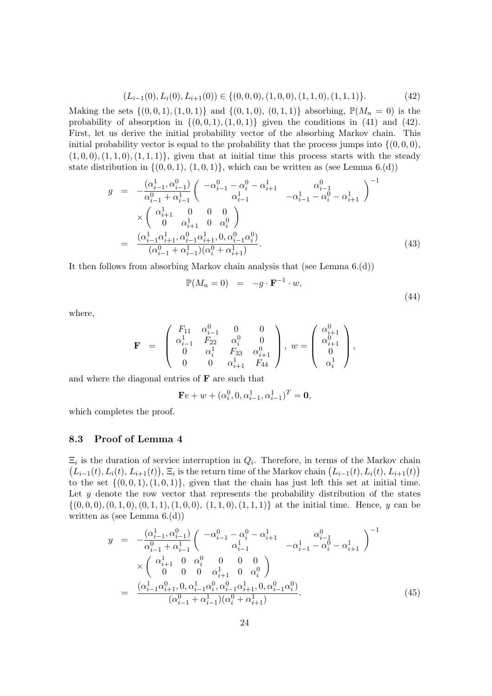$$
(L_{i-1}(0), L_i(0), L_{i+1}(0)) \in \{ (0,0,0), (1,0,0), (1,1,0), (1,1,1) \}. \tag{42}
$$

Making the sets  $\{(0, 0, 1), (1, 0, 1)\}\$  and  $\{(0, 1, 0), (0, 1, 1)\}\$  absorbing,  $\mathbb{P}(M_n = 0)$  is the probability of absorption in  $\{(0, 0, 1), (1, 0, 1)\}$  given the conditions in (41) and (42). First, let us derive the initial probability vector of the absorbing Markov chain. This initial probability vector is equal to the probability that the process jumps into  $\{(0,0,0),\}$  $(1, 0, 0), (1, 1, 0), (1, 1, 1)$ , given that at initial time this process starts with the steady state distribution in  $\{(0, 0, 1), (1, 0, 1)\}\$ , which can be written as (see Lemma 6.(d))

$$
g = -\frac{(\alpha_{i-1}^1, \alpha_{i-1}^0)}{\alpha_{i-1}^0 + \alpha_{i-1}^1} \left( \begin{array}{cc} -\alpha_{i-1}^0 - \alpha_i^0 - \alpha_{i+1}^1 & \alpha_{i-1}^0 \\ \alpha_{i-1}^1 & \alpha_{i-1}^1 & -\alpha_{i-1}^1 - \alpha_i^0 - \alpha_{i+1}^1 \end{array} \right)^{-1}
$$
  
\n
$$
\times \left( \begin{array}{cc} \alpha_{i+1}^1 & 0 & 0 & 0 \\ 0 & \alpha_{i+1}^1 & 0 & \alpha_i^0 \end{array} \right)
$$
  
\n
$$
= \frac{(\alpha_{i-1}^1 \alpha_{i+1}^1, \alpha_{i-1}^0 \alpha_{i+1}^1, 0, \alpha_{i-1}^0 \alpha_i^0)}{(\alpha_{i-1}^0 + \alpha_{i-1}^1)(\alpha_i^0 + \alpha_{i+1}^1)}.
$$
 (43)

It then follows from absorbing Markov chain analysis that (see Lemma 6.(d))

$$
\mathbb{P}(M_n = 0) = -g \cdot \mathbf{F}^{-1} \cdot w,
$$
\n(44)

where,

$$
\mathbf{F} \hspace{0.2cm} = \hspace{0.2cm} \left ( \begin{array}{cccc} F_{11} & \alpha_{i-1}^{0} & 0 & 0 \\ \alpha_{i-1}^{1} & F_{22} & \alpha_{i}^{0} & 0 \\ 0 & \alpha_{i}^{1} & F_{33} & \alpha_{i+1}^{0} \\ 0 & 0 & \alpha_{i+1}^{1} & F_{44} \end{array} \right ), \hspace{0.2cm} w = \left ( \begin{array}{c} \alpha_{i+1}^{0} \\ \alpha_{i+1}^{0} \\ 0 \\ \alpha_{i}^{1} \end{array} \right ),
$$

and where the diagonal entries of  **are such that** 

$$
\mathbf{F}e + w + (\alpha_i^0, 0, \alpha_{i-1}^1, \alpha_{i-1}^1)^T = \mathbf{0},
$$

which completes the proof.

# 8.3 Proof of Lemma 4

 $\Xi_i$  is the duration of service interruption in  $Q_i$ . Therefore, in terms of the Markov chain  $L_i$  is the duration of service interruption in  $Q_i$ . Therefore, in terms of the Markov chain  $(L_{i-1}(t), L_i(t), L_{i+1}(t))$ ,  $\Xi_i$  is the return time of the Markov chain  $(L_{i-1}(t), L_i(t), L_{i+1}(t))$ to the set  $\{(0, 0, 1), (1, 0, 1)\}$ , given that the chain has just left this set at initial time. Let  $y$  denote the row vector that represents the probability distribution of the states  $\{(0,0,0), (0,1,0), (0,1,1), (1,0,0), (1,1,0), (1,1,1)\}\$ at the initial time. Hence, y can be written as (see Lemma 6.(d))

$$
y = -\frac{(\alpha_{i-1}^1, \alpha_{i-1}^0)}{\alpha_{i-1}^0 + \alpha_{i-1}^1} \left( \begin{array}{ccc} -\alpha_{i-1}^0 - \alpha_i^0 - \alpha_{i+1}^1 & \alpha_{i-1}^0 \\ \alpha_{i-1}^1 & -\alpha_{i-1}^1 - \alpha_i^0 - \alpha_{i+1}^1 \end{array} \right)^{-1}
$$
  
\n
$$
\times \left( \begin{array}{ccc} \alpha_{i+1}^1 & 0 & \alpha_i^0 & 0 & 0 \\ 0 & 0 & 0 & \alpha_{i+1}^1 & 0 \end{array} \right)
$$
  
\n
$$
= \frac{(\alpha_{i-1}^1 \alpha_{i+1}^0, 0, \alpha_{i-1}^1 \alpha_i^0, \alpha_{i-1}^0 \alpha_{i+1}^1, 0, \alpha_{i-1}^0 \alpha_i^0)}{(\alpha_{i-1}^0 + \alpha_{i-1}^1)(\alpha_i^0 + \alpha_{i+1}^1)}
$$
 (45)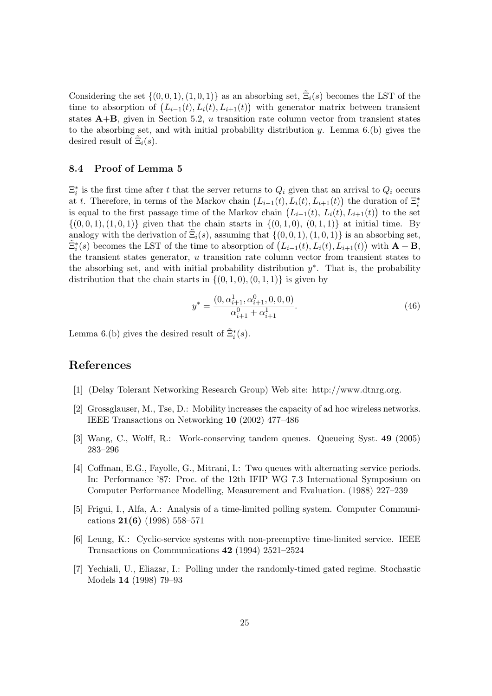Considering the set  $\{(0,0,1), (1,0,1)\}$  as an absorbing set,  $\tilde{\Xi}_i(s)$  becomes the LST of the Considering the set  $\{(0,0,1),(1,0,1)\}$  as an absorpting set,  $\Xi_i(s)$  becomes the LS1 of the<br>time to absorption of  $(L_{i-1}(t), L_i(t), L_{i+1}(t))$  with generator matrix between transient states  $A+B$ , given in Section 5.2, u transition rate column vector from transient states to the absorbing set, and with initial probability distribution  $y$ . Lemma 6.(b) gives the desired result of  $\tilde{\Xi}_i(s)$ .

#### 8.4 Proof of Lemma 5

 $\Xi_i^*$  is the first time after t that the server returns to  $Q_i$  given that an arrival to  $Q_i$  occurs  $\Xi_i$  is the first time after t that the server returns to  $Q_i$  given that an arrival to  $Q_i$  occurs at t. Therefore, in terms of the Markov chain  $(L_{i-1}(t), L_i(t), L_{i+1}(t))$  the duration of  $\Xi_i^*$ at t. Therefore, in terms of the Markov chain  $(L_{i-1}(t), L_i(t), L_{i+1}(t))$  the duration of  $\Xi_i$ <br>is equal to the first passage time of the Markov chain  $(L_{i-1}(t), L_i(t), L_{i+1}(t))$  to the set  $\{(0, 0, 1), (1, 0, 1)\}\$  given that the chain starts in  $\{(0, 1, 0), (0, 1, 1)\}\$  at initial time. By analogy with the derivation of  $\tilde{\Xi}_i(s)$ , assuming that  $\{(0, 0, 1), (1, 0, 1)\}$  is an absorbing set, analogy with the derivation of  $\Xi_i(s)$ , assuming that  $\{(0, 0, 1), (1, 0, 1)\}$  is an absorpting set,<br> $\tilde{\Xi}_i^*(s)$  becomes the LST of the time to absorption of  $(L_{i-1}(t), L_i(t), L_{i+1}(t))$  with  $\mathbf{A} + \mathbf{B}$ , the transient states generator,  $u$  transition rate column vector from transient states to the absorbing set, and with initial probability distribution  $y^*$ . That is, the probability distribution that the chain starts in  $\{(0,1,0),(0,1,1)\}\)$  is given by

$$
y^* = \frac{(0, \alpha_{i+1}^1, \alpha_{i+1}^0, 0, 0, 0)}{\alpha_{i+1}^0 + \alpha_{i+1}^1}.
$$
\n(46)

Lemma 6.(b) gives the desired result of  $\tilde{\Xi}_i^*(s)$ .

# References

- [1] (Delay Tolerant Networking Research Group) Web site: http://www.dtnrg.org.
- [2] Grossglauser, M., Tse, D.: Mobility increases the capacity of ad hoc wireless networks. IEEE Transactions on Networking 10 (2002) 477–486
- [3] Wang, C., Wolff, R.: Work-conserving tandem queues. Queueing Syst. 49 (2005) 283–296
- [4] Coffman, E.G., Fayolle, G., Mitrani, I.: Two queues with alternating service periods. In: Performance '87: Proc. of the 12th IFIP WG 7.3 International Symposium on Computer Performance Modelling, Measurement and Evaluation. (1988) 227–239
- [5] Frigui, I., Alfa, A.: Analysis of a time-limited polling system. Computer Communications 21(6) (1998) 558–571
- [6] Leung, K.: Cyclic-service systems with non-preemptive time-limited service. IEEE Transactions on Communications 42 (1994) 2521–2524
- [7] Yechiali, U., Eliazar, I.: Polling under the randomly-timed gated regime. Stochastic Models 14 (1998) 79–93